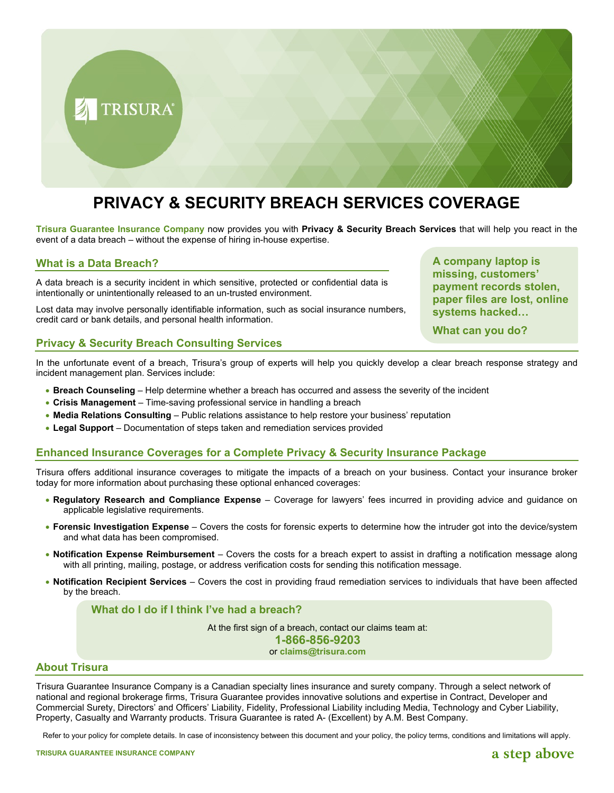

# **PRIVACY & SECURITY BREACH SERVICES COVERAGE**

**Trisura Guarantee Insurance Company** now provides you with **Privacy & Security Breach Services** that will help you react in the event of a data breach – without the expense of hiring in-house expertise.

# **What is a Data Breach?**

A data breach is a security incident in which sensitive, protected or confidential data is intentionally or unintentionally released to an un-trusted environment.

Lost data may involve personally identifiable information, such as social insurance numbers, credit card or bank details, and personal health information.

# **Privacy & Security Breach Consulting Services**

In the unfortunate event of a breach, Trisura's group of experts will help you quickly develop a clear breach response strategy and incident management plan. Services include:

- **Breach Counseling** Help determine whether a breach has occurred and assess the severity of the incident
- **Crisis Management** Time-saving professional service in handling a breach
- **Media Relations Consulting** Public relations assistance to help restore your business' reputation
- **Legal Support** Documentation of steps taken and remediation services provided

# **Enhanced Insurance Coverages for a Complete Privacy & Security Insurance Package**

Trisura offers additional insurance coverages to mitigate the impacts of a breach on your business. Contact your insurance broker today for more information about purchasing these optional enhanced coverages:

- **Regulatory Research and Compliance Expense** Coverage for lawyers' fees incurred in providing advice and guidance on applicable legislative requirements.
- **Forensic Investigation Expense** Covers the costs for forensic experts to determine how the intruder got into the device/system and what data has been compromised.
- **Notification Expense Reimbursement** Covers the costs for a breach expert to assist in drafting a notification message along with all printing, mailing, postage, or address verification costs for sending this notification message.
- **Notification Recipient Services** Covers the cost in providing fraud remediation services to individuals that have been affected by the breach.

# **What do I do if I think I've had a breach?**

At the first sign of a breach, contact our claims team at:

**1-866-856-9203**

or **[claims@trisura.com](mailto:claims@trisura.com)**

## **About Trisura**

Trisura Guarantee Insurance Company is a Canadian specialty lines insurance and surety company. Through a select network of national and regional brokerage firms, Trisura Guarantee provides innovative solutions and expertise in Contract, Developer and Commercial Surety, Directors' and Officers' Liability, Fidelity, Professional Liability including Media, Technology and Cyber Liability, Property, Casualty and Warranty products. Trisura Guarantee is rated A- (Excellent) by A.M. Best Company.

Refer to your policy for complete details. In case of inconsistency between this document and your policy, the policy terms, conditions and limitations will apply.

# a step above

**A company laptop is missing, customers' payment records stolen, paper files are lost, online systems hacked…**

**What can you do?**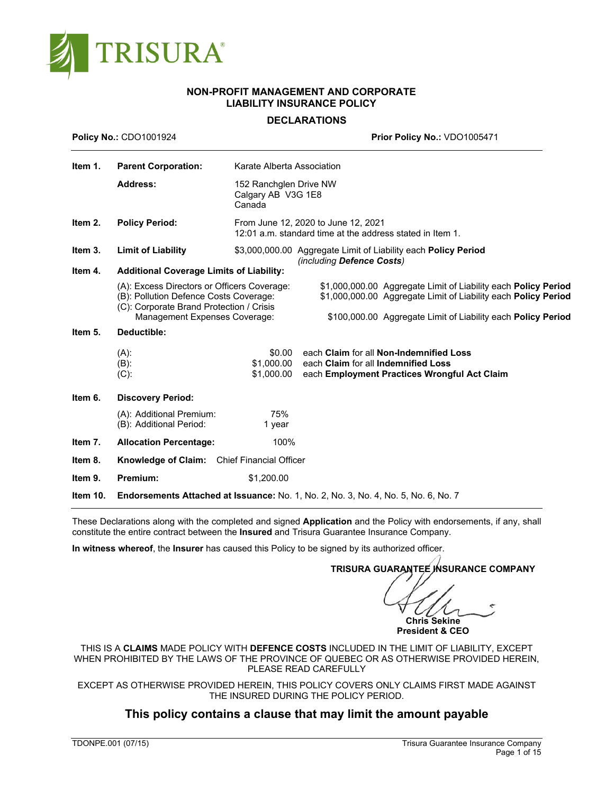

# **NON-PROFIT MANAGEMENT AND CORPORATE LIABILITY INSURANCE POLICY**

# **DECLARATIONS**

| <b>Policy No.: CDO1001924</b> |                                                                                                                                                                    | Prior Policy No.: VDO1005471                                                                     |                                                                                                                                                                                                         |  |  |
|-------------------------------|--------------------------------------------------------------------------------------------------------------------------------------------------------------------|--------------------------------------------------------------------------------------------------|---------------------------------------------------------------------------------------------------------------------------------------------------------------------------------------------------------|--|--|
| Item 1.                       | <b>Parent Corporation:</b>                                                                                                                                         | Karate Alberta Association                                                                       |                                                                                                                                                                                                         |  |  |
|                               | <b>Address:</b>                                                                                                                                                    | 152 Ranchglen Drive NW<br>Calgary AB V3G 1E8<br>Canada                                           |                                                                                                                                                                                                         |  |  |
| Item 2.                       | <b>Policy Period:</b>                                                                                                                                              | From June 12, 2020 to June 12, 2021<br>12:01 a.m. standard time at the address stated in Item 1. |                                                                                                                                                                                                         |  |  |
| Item 3.                       | <b>Limit of Liability</b>                                                                                                                                          |                                                                                                  | \$3,000,000.00 Aggregate Limit of Liability each Policy Period<br>(including Defence Costs)                                                                                                             |  |  |
| Item 4.                       |                                                                                                                                                                    |                                                                                                  |                                                                                                                                                                                                         |  |  |
|                               | (A): Excess Directors or Officers Coverage:<br>(B): Pollution Defence Costs Coverage:<br>(C): Corporate Brand Protection / Crisis<br>Management Expenses Coverage: |                                                                                                  | \$1,000,000.00 Aggregate Limit of Liability each <b>Policy Period</b><br>\$1,000,000.00 Aggregate Limit of Liability each Policy Period<br>\$100,000.00 Aggregate Limit of Liability each Policy Period |  |  |
| Item 5.                       | Deductible:                                                                                                                                                        |                                                                                                  |                                                                                                                                                                                                         |  |  |
|                               | $(A)$ :<br>(B):<br>$(C)$ :                                                                                                                                         | \$0.00<br>\$1.000.00<br>\$1,000.00                                                               | each Claim for all Non-Indemnified Loss<br>each Claim for all Indemnified Loss<br>each Employment Practices Wrongful Act Claim                                                                          |  |  |
| Item 6.                       | <b>Discovery Period:</b>                                                                                                                                           |                                                                                                  |                                                                                                                                                                                                         |  |  |
|                               | (A): Additional Premium:<br>(B): Additional Period:                                                                                                                | 75%<br>1 year                                                                                    |                                                                                                                                                                                                         |  |  |
| Item 7.                       | <b>Allocation Percentage:</b>                                                                                                                                      | 100%                                                                                             |                                                                                                                                                                                                         |  |  |
| Item 8.                       | <b>Knowledge of Claim:</b> Chief Financial Officer                                                                                                                 |                                                                                                  |                                                                                                                                                                                                         |  |  |
| Item 9.                       | Premium:                                                                                                                                                           | \$1,200.00                                                                                       |                                                                                                                                                                                                         |  |  |
| Item 10.                      |                                                                                                                                                                    |                                                                                                  | Endorsements Attached at Issuance: No. 1, No. 2, No. 3, No. 4, No. 5, No. 6, No. 7                                                                                                                      |  |  |

These Declarations along with the completed and signed **Application** and the Policy with endorsements, if any, shall constitute the entire contract between the **Insured** and Trisura Guarantee Insurance Company.

**In witness whereof**, the **Insurer** has caused this Policy to be signed by its authorized officer.

**TRISURA GUARANTEE INSURANCE COMPANY**

**Chris Sekine**

**President & CEO**

THIS IS A **CLAIMS** MADE POLICY WITH **DEFENCE COSTS** INCLUDED IN THE LIMIT OF LIABILITY, EXCEPT WHEN PROHIBITED BY THE LAWS OF THE PROVINCE OF QUEBEC OR AS OTHERWISE PROVIDED HEREIN, PLEASE READ CAREFULLY

EXCEPT AS OTHERWISE PROVIDED HEREIN, THIS POLICY COVERS ONLY CLAIMS FIRST MADE AGAINST THE INSURED DURING THE POLICY PERIOD.

# **This policy contains a clause that may limit the amount payable**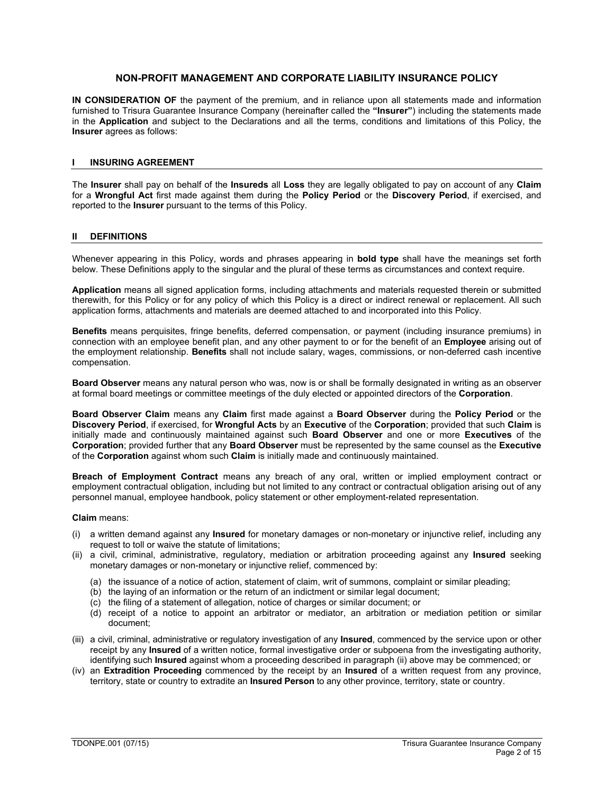# **NON-PROFIT MANAGEMENT AND CORPORATE LIABILITY INSURANCE POLICY**

**IN CONSIDERATION OF** the payment of the premium, and in reliance upon all statements made and information furnished to Trisura Guarantee Insurance Company (hereinafter called the **"Insurer"**) including the statements made in the **Application** and subject to the Declarations and all the terms, conditions and limitations of this Policy, the **Insurer** agrees as follows:

### **I INSURING AGREEMENT**

The **Insurer** shall pay on behalf of the **Insureds** all **Loss** they are legally obligated to pay on account of any **Claim** for a **Wrongful Act** first made against them during the **Policy Period** or the **Discovery Period**, if exercised, and reported to the **Insurer** pursuant to the terms of this Policy.

### **II DEFINITIONS**

Whenever appearing in this Policy, words and phrases appearing in **bold type** shall have the meanings set forth below. These Definitions apply to the singular and the plural of these terms as circumstances and context require.

**Application** means all signed application forms, including attachments and materials requested therein or submitted therewith, for this Policy or for any policy of which this Policy is a direct or indirect renewal or replacement. All such application forms, attachments and materials are deemed attached to and incorporated into this Policy.

**Benefits** means perquisites, fringe benefits, deferred compensation, or payment (including insurance premiums) in connection with an employee benefit plan, and any other payment to or for the benefit of an **Employee** arising out of the employment relationship. **Benefits** shall not include salary, wages, commissions, or non-deferred cash incentive compensation.

**Board Observer** means any natural person who was, now is or shall be formally designated in writing as an observer at formal board meetings or committee meetings of the duly elected or appointed directors of the **Corporation**.

**Board Observer Claim** means any **Claim** first made against a **Board Observer** during the **Policy Period** or the **Discovery Period**, if exercised, for **Wrongful Acts** by an **Executive** of the **Corporation**; provided that such **Claim** is initially made and continuously maintained against such **Board Observer** and one or more **Executives** of the **Corporation**; provided further that any **Board Observer** must be represented by the same counsel as the **Executive** of the **Corporation** against whom such **Claim** is initially made and continuously maintained.

**Breach of Employment Contract** means any breach of any oral, written or implied employment contract or employment contractual obligation, including but not limited to any contract or contractual obligation arising out of any personnel manual, employee handbook, policy statement or other employment-related representation.

#### **Claim** means:

- (i) a written demand against any **Insured** for monetary damages or non-monetary or injunctive relief, including any request to toll or waive the statute of limitations;
- (ii) a civil, criminal, administrative, regulatory, mediation or arbitration proceeding against any **Insured** seeking monetary damages or non-monetary or injunctive relief, commenced by:
	- (a) the issuance of a notice of action, statement of claim, writ of summons, complaint or similar pleading;
	- (b) the laying of an information or the return of an indictment or similar legal document;
	- (c) the filing of a statement of allegation, notice of charges or similar document; or
	- (d) receipt of a notice to appoint an arbitrator or mediator, an arbitration or mediation petition or similar document;
- (iii) a civil, criminal, administrative or regulatory investigation of any **Insured**, commenced by the service upon or other receipt by any **Insured** of a written notice, formal investigative order or subpoena from the investigating authority, identifying such **Insured** against whom a proceeding described in paragraph (ii) above may be commenced; or
- (iv) an **Extradition Proceeding** commenced by the receipt by an **Insured** of a written request from any province, territory, state or country to extradite an **Insured Person** to any other province, territory, state or country.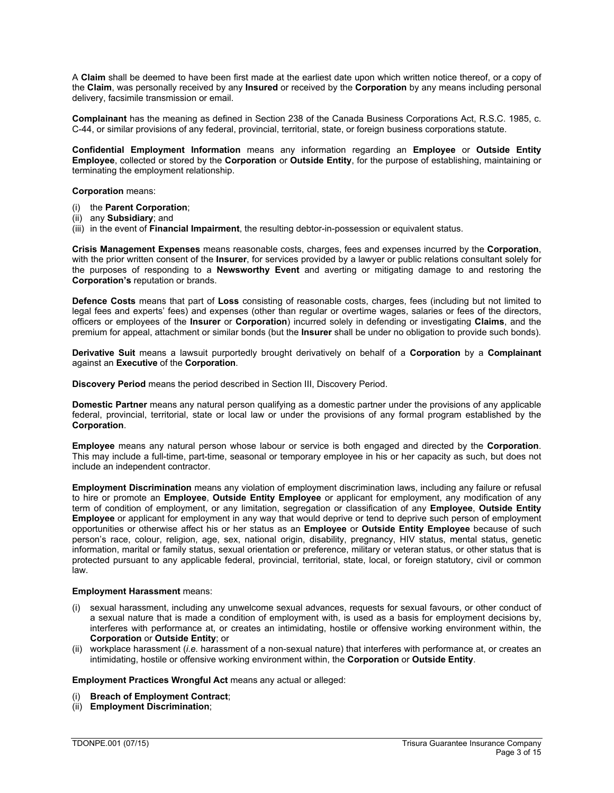A **Claim** shall be deemed to have been first made at the earliest date upon which written notice thereof, or a copy of the **Claim**, was personally received by any **Insured** or received by the **Corporation** by any means including personal delivery, facsimile transmission or email.

**Complainant** has the meaning as defined in Section 238 of the Canada Business Corporations Act, R.S.C. 1985, c. C-44, or similar provisions of any federal, provincial, territorial, state, or foreign business corporations statute.

**Confidential Employment Information** means any information regarding an **Employee** or **Outside Entity Employee**, collected or stored by the **Corporation** or **Outside Entity**, for the purpose of establishing, maintaining or terminating the employment relationship.

### **Corporation** means:

- (i) the **Parent Corporation**;
- (ii) any **Subsidiary**; and
- (iii) in the event of **Financial Impairment**, the resulting debtor-in-possession or equivalent status.

**Crisis Management Expenses** means reasonable costs, charges, fees and expenses incurred by the **Corporation**, with the prior written consent of the **Insurer**, for services provided by a lawyer or public relations consultant solely for the purposes of responding to a **Newsworthy Event** and averting or mitigating damage to and restoring the **Corporation's** reputation or brands.

**Defence Costs** means that part of **Loss** consisting of reasonable costs, charges, fees (including but not limited to legal fees and experts' fees) and expenses (other than regular or overtime wages, salaries or fees of the directors, officers or employees of the **Insurer** or **Corporation**) incurred solely in defending or investigating **Claims**, and the premium for appeal, attachment or similar bonds (but the **Insurer** shall be under no obligation to provide such bonds).

**Derivative Suit** means a lawsuit purportedly brought derivatively on behalf of a **Corporation** by a **Complainant** against an **Executive** of the **Corporation**.

**Discovery Period** means the period described in Section III, Discovery Period.

**Domestic Partner** means any natural person qualifying as a domestic partner under the provisions of any applicable federal, provincial, territorial, state or local law or under the provisions of any formal program established by the **Corporation**.

**Employee** means any natural person whose labour or service is both engaged and directed by the **Corporation**. This may include a full-time, part-time, seasonal or temporary employee in his or her capacity as such, but does not include an independent contractor.

**Employment Discrimination** means any violation of employment discrimination laws, including any failure or refusal to hire or promote an **Employee**, **Outside Entity Employee** or applicant for employment, any modification of any term of condition of employment, or any limitation, segregation or classification of any **Employee**, **Outside Entity Employee** or applicant for employment in any way that would deprive or tend to deprive such person of employment opportunities or otherwise affect his or her status as an **Employee** or **Outside Entity Employee** because of such person's race, colour, religion, age, sex, national origin, disability, pregnancy, HIV status, mental status, genetic information, marital or family status, sexual orientation or preference, military or veteran status, or other status that is protected pursuant to any applicable federal, provincial, territorial, state, local, or foreign statutory, civil or common law.

#### **Employment Harassment** means:

- (i) sexual harassment, including any unwelcome sexual advances, requests for sexual favours, or other conduct of a sexual nature that is made a condition of employment with, is used as a basis for employment decisions by, interferes with performance at, or creates an intimidating, hostile or offensive working environment within, the **Corporation** or **Outside Entity**; or
- (ii) workplace harassment (*i.e.* harassment of a non-sexual nature) that interferes with performance at, or creates an intimidating, hostile or offensive working environment within, the **Corporation** or **Outside Entity**.

**Employment Practices Wrongful Act** means any actual or alleged:

- (i) **Breach of Employment Contract**;
- (ii) **Employment Discrimination**;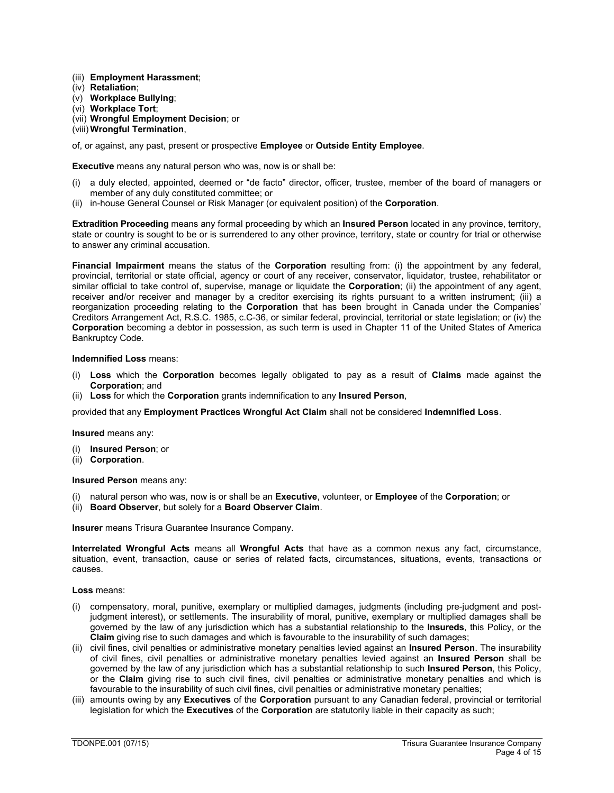- (iii) **Employment Harassment**;
- (iv) **Retaliation**;
- (v) **Workplace Bullying**;
- (vi) **Workplace Tort**;
- (vii) **Wrongful Employment Decision**; or
- (viii) **Wrongful Termination**,

of, or against, any past, present or prospective **Employee** or **Outside Entity Employee**.

**Executive** means any natural person who was, now is or shall be:

- (i) a duly elected, appointed, deemed or "de facto" director, officer, trustee, member of the board of managers or member of any duly constituted committee; or
- (ii) in-house General Counsel or Risk Manager (or equivalent position) of the **Corporation**.

**Extradition Proceeding** means any formal proceeding by which an **Insured Person** located in any province, territory, state or country is sought to be or is surrendered to any other province, territory, state or country for trial or otherwise to answer any criminal accusation.

**Financial Impairment** means the status of the **Corporation** resulting from: (i) the appointment by any federal, provincial, territorial or state official, agency or court of any receiver, conservator, liquidator, trustee, rehabilitator or similar official to take control of, supervise, manage or liquidate the **Corporation**; (ii) the appointment of any agent, receiver and/or receiver and manager by a creditor exercising its rights pursuant to a written instrument; (iii) a reorganization proceeding relating to the **Corporation** that has been brought in Canada under the Companies' Creditors Arrangement Act, R.S.C. 1985, c.C-36, or similar federal, provincial, territorial or state legislation; or (iv) the **Corporation** becoming a debtor in possession, as such term is used in Chapter 11 of the United States of America Bankruptcy Code.

#### **Indemnified Loss** means:

- Loss which the **Corporation** becomes legally obligated to pay as a result of **Claims** made against the **Corporation**; and
- (ii) **Loss** for which the **Corporation** grants indemnification to any **Insured Person**,

provided that any **Employment Practices Wrongful Act Claim** shall not be considered **Indemnified Loss**.

#### **Insured** means any:

- (i) **Insured Person**; or
- (ii) **Corporation**.

#### **Insured Person** means any:

- (i) natural person who was, now is or shall be an **Executive**, volunteer, or **Employee** of the **Corporation**; or
- (ii) **Board Observer**, but solely for a **Board Observer Claim**.

**Insurer** means Trisura Guarantee Insurance Company.

**Interrelated Wrongful Acts** means all **Wrongful Acts** that have as a common nexus any fact, circumstance, situation, event, transaction, cause or series of related facts, circumstances, situations, events, transactions or causes.

#### **Loss** means:

- (i) compensatory, moral, punitive, exemplary or multiplied damages, judgments (including pre-judgment and postjudgment interest), or settlements. The insurability of moral, punitive, exemplary or multiplied damages shall be governed by the law of any jurisdiction which has a substantial relationship to the **Insureds**, this Policy, or the **Claim** giving rise to such damages and which is favourable to the insurability of such damages;
- (ii) civil fines, civil penalties or administrative monetary penalties levied against an **Insured Person**. The insurability of civil fines, civil penalties or administrative monetary penalties levied against an **Insured Person** shall be governed by the law of any jurisdiction which has a substantial relationship to such **Insured Person**, this Policy, or the **Claim** giving rise to such civil fines, civil penalties or administrative monetary penalties and which is favourable to the insurability of such civil fines, civil penalties or administrative monetary penalties;
- (iii) amounts owing by any **Executives** of the **Corporation** pursuant to any Canadian federal, provincial or territorial legislation for which the **Executives** of the **Corporation** are statutorily liable in their capacity as such;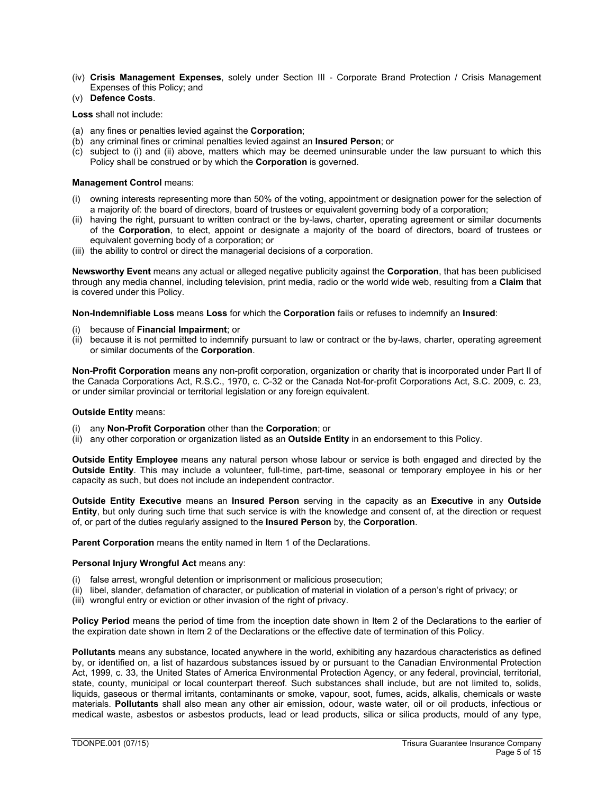(iv) **Crisis Management Expenses**, solely under Section III - Corporate Brand Protection / Crisis Management Expenses of this Policy; and

# (v) **Defence Costs**.

**Loss** shall not include:

- (a) any fines or penalties levied against the **Corporation**;
- (b) any criminal fines or criminal penalties levied against an **Insured Person**; or
- (c) subject to (i) and (ii) above, matters which may be deemed uninsurable under the law pursuant to which this Policy shall be construed or by which the **Corporation** is governed.

### **Management Control** means:

- (i) owning interests representing more than 50% of the voting, appointment or designation power for the selection of a majority of: the board of directors, board of trustees or equivalent governing body of a corporation;
- (ii) having the right, pursuant to written contract or the by-laws, charter, operating agreement or similar documents of the **Corporation**, to elect, appoint or designate a majority of the board of directors, board of trustees or equivalent governing body of a corporation; or
- (iii) the ability to control or direct the managerial decisions of a corporation.

**Newsworthy Event** means any actual or alleged negative publicity against the **Corporation**, that has been publicised through any media channel, including television, print media, radio or the world wide web, resulting from a **Claim** that is covered under this Policy.

**Non-Indemnifiable Loss** means **Loss** for which the **Corporation** fails or refuses to indemnify an **Insured**:

- (i) because of **Financial Impairment**; or
- (ii) because it is not permitted to indemnify pursuant to law or contract or the by-laws, charter, operating agreement or similar documents of the **Corporation**.

**Non-Profit Corporation** means any non-profit corporation, organization or charity that is incorporated under Part II of the Canada Corporations Act, R.S.C., 1970, c. C-32 or the Canada Not-for-profit Corporations Act, S.C. 2009, c. 23, or under similar provincial or territorial legislation or any foreign equivalent.

### **Outside Entity** means:

- (i) any **Non-Profit Corporation** other than the **Corporation**; or
- (ii) any other corporation or organization listed as an **Outside Entity** in an endorsement to this Policy.

**Outside Entity Employee** means any natural person whose labour or service is both engaged and directed by the **Outside Entity**. This may include a volunteer, full-time, part-time, seasonal or temporary employee in his or her capacity as such, but does not include an independent contractor.

**Outside Entity Executive** means an **Insured Person** serving in the capacity as an **Executive** in any **Outside Entity**, but only during such time that such service is with the knowledge and consent of, at the direction or request of, or part of the duties regularly assigned to the **Insured Person** by, the **Corporation**.

**Parent Corporation** means the entity named in Item 1 of the Declarations.

### **Personal Injury Wrongful Act** means any:

- (i) false arrest, wrongful detention or imprisonment or malicious prosecution;
- (ii) libel, slander, defamation of character, or publication of material in violation of a person's right of privacy; or
- (iii) wrongful entry or eviction or other invasion of the right of privacy.

**Policy Period** means the period of time from the inception date shown in Item 2 of the Declarations to the earlier of the expiration date shown in Item 2 of the Declarations or the effective date of termination of this Policy.

**Pollutants** means any substance, located anywhere in the world, exhibiting any hazardous characteristics as defined by, or identified on, a list of hazardous substances issued by or pursuant to the Canadian Environmental Protection Act, 1999, c. 33, the United States of America Environmental Protection Agency, or any federal, provincial, territorial, state, county, municipal or local counterpart thereof. Such substances shall include, but are not limited to, solids, liquids, gaseous or thermal irritants, contaminants or smoke, vapour, soot, fumes, acids, alkalis, chemicals or waste materials. **Pollutants** shall also mean any other air emission, odour, waste water, oil or oil products, infectious or medical waste, asbestos or asbestos products, lead or lead products, silica or silica products, mould of any type,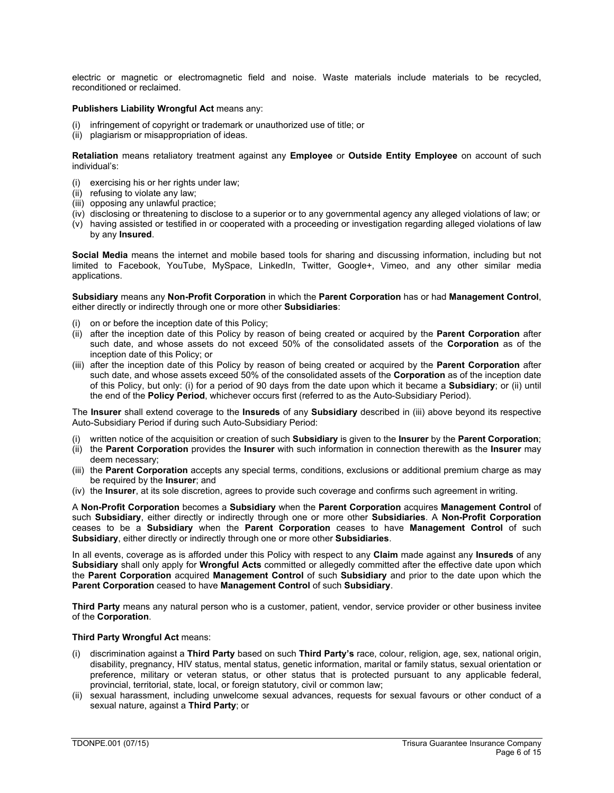electric or magnetic or electromagnetic field and noise. Waste materials include materials to be recycled, reconditioned or reclaimed.

### **Publishers Liability Wrongful Act** means any:

- (i) infringement of copyright or trademark or unauthorized use of title; or
- (ii) plagiarism or misappropriation of ideas.

**Retaliation** means retaliatory treatment against any **Employee** or **Outside Entity Employee** on account of such individual's:

- (i) exercising his or her rights under law;
- (ii) refusing to violate any law;
- (iii) opposing any unlawful practice;
- (iv) disclosing or threatening to disclose to a superior or to any governmental agency any alleged violations of law; or
- (v) having assisted or testified in or cooperated with a proceeding or investigation regarding alleged violations of law by any **Insured**.

**Social Media** means the internet and mobile based tools for sharing and discussing information, including but not limited to Facebook, YouTube, MySpace, LinkedIn, Twitter, Google+, Vimeo, and any other similar media applications.

### **Subsidiary** means any **Non-Profit Corporation** in which the **Parent Corporation** has or had **Management Control**, either directly or indirectly through one or more other **Subsidiaries**:

- (i) on or before the inception date of this Policy;
- (ii) after the inception date of this Policy by reason of being created or acquired by the **Parent Corporation** after such date, and whose assets do not exceed 50% of the consolidated assets of the **Corporation** as of the inception date of this Policy; or
- (iii) after the inception date of this Policy by reason of being created or acquired by the **Parent Corporation** after such date, and whose assets exceed 50% of the consolidated assets of the **Corporation** as of the inception date of this Policy, but only: (i) for a period of 90 days from the date upon which it became a **Subsidiary**; or (ii) until the end of the **Policy Period**, whichever occurs first (referred to as the Auto-Subsidiary Period).

The **Insurer** shall extend coverage to the **Insureds** of any **Subsidiary** described in (iii) above beyond its respective Auto-Subsidiary Period if during such Auto-Subsidiary Period:

- (i) written notice of the acquisition or creation of such **Subsidiary** is given to the **Insurer** by the **Parent Corporation**;
- (ii) the **Parent Corporation** provides the **Insurer** with such information in connection therewith as the **Insurer** may deem necessary;
- (iii) the **Parent Corporation** accepts any special terms, conditions, exclusions or additional premium charge as may be required by the **Insurer**; and
- (iv) the **Insurer**, at its sole discretion, agrees to provide such coverage and confirms such agreement in writing.

A **Non-Profit Corporation** becomes a **Subsidiary** when the **Parent Corporation** acquires **Management Control** of such **Subsidiary**, either directly or indirectly through one or more other **Subsidiaries**. A **Non-Profit Corporation** ceases to be a **Subsidiary** when the **Parent Corporation** ceases to have **Management Control** of such **Subsidiary**, either directly or indirectly through one or more other **Subsidiaries**.

In all events, coverage as is afforded under this Policy with respect to any **Claim** made against any **Insureds** of any **Subsidiary** shall only apply for **Wrongful Acts** committed or allegedly committed after the effective date upon which the **Parent Corporation** acquired **Management Control** of such **Subsidiary** and prior to the date upon which the **Parent Corporation** ceased to have **Management Control** of such **Subsidiary**.

**Third Party** means any natural person who is a customer, patient, vendor, service provider or other business invitee of the **Corporation**.

### **Third Party Wrongful Act** means:

- (i) discrimination against a **Third Party** based on such **Third Party's** race, colour, religion, age, sex, national origin, disability, pregnancy, HIV status, mental status, genetic information, marital or family status, sexual orientation or preference, military or veteran status, or other status that is protected pursuant to any applicable federal, provincial, territorial, state, local, or foreign statutory, civil or common law;
- (ii) sexual harassment, including unwelcome sexual advances, requests for sexual favours or other conduct of a sexual nature, against a **Third Party**; or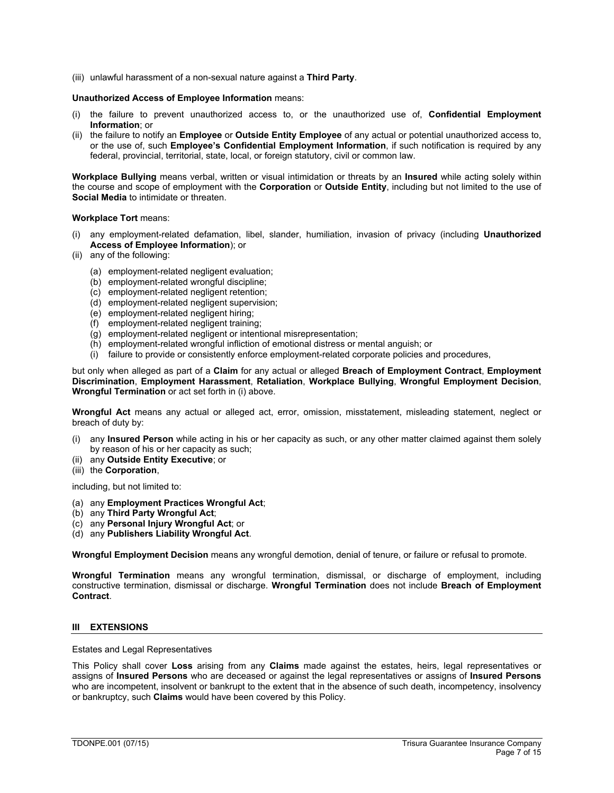(iii) unlawful harassment of a non-sexual nature against a **Third Party**.

### **Unauthorized Access of Employee Information** means:

- (i) the failure to prevent unauthorized access to, or the unauthorized use of, **Confidential Employment Information**; or
- (ii) the failure to notify an **Employee** or **Outside Entity Employee** of any actual or potential unauthorized access to, or the use of, such **Employee's Confidential Employment Information**, if such notification is required by any federal, provincial, territorial, state, local, or foreign statutory, civil or common law.

**Workplace Bullying** means verbal, written or visual intimidation or threats by an **Insured** while acting solely within the course and scope of employment with the **Corporation** or **Outside Entity**, including but not limited to the use of **Social Media** to intimidate or threaten.

### **Workplace Tort** means:

- (i) any employment-related defamation, libel, slander, humiliation, invasion of privacy (including **Unauthorized Access of Employee Information**); or
- (ii) any of the following:
	- (a) employment-related negligent evaluation;
	- (b) employment-related wrongful discipline;
	- (c) employment-related negligent retention;
	- (d) employment-related negligent supervision;
	- (e) employment-related negligent hiring;
	- (f) employment-related negligent training;
	- (g) employment-related negligent or intentional misrepresentation;
	- (h) employment-related wrongful infliction of emotional distress or mental anguish; or
	- (i) failure to provide or consistently enforce employment-related corporate policies and procedures,

but only when alleged as part of a **Claim** for any actual or alleged **Breach of Employment Contract**, **Employment Discrimination**, **Employment Harassment**, **Retaliation**, **Workplace Bullying**, **Wrongful Employment Decision**, **Wrongful Termination** or act set forth in (i) above.

**Wrongful Act** means any actual or alleged act, error, omission, misstatement, misleading statement, neglect or breach of duty by:

- (i) any **Insured Person** while acting in his or her capacity as such, or any other matter claimed against them solely by reason of his or her capacity as such;
- (ii) any **Outside Entity Executive**; or
- (iii) the **Corporation**,

including, but not limited to:

- (a) any **Employment Practices Wrongful Act**;
- (b) any **Third Party Wrongful Act**;
- (c) any **Personal Injury Wrongful Act**; or
- (d) any **Publishers Liability Wrongful Act**.

**Wrongful Employment Decision** means any wrongful demotion, denial of tenure, or failure or refusal to promote.

**Wrongful Termination** means any wrongful termination, dismissal, or discharge of employment, including constructive termination, dismissal or discharge. **Wrongful Termination** does not include **Breach of Employment Contract**.

### **III EXTENSIONS**

Estates and Legal Representatives

This Policy shall cover **Loss** arising from any **Claims** made against the estates, heirs, legal representatives or assigns of **Insured Persons** who are deceased or against the legal representatives or assigns of **Insured Persons** who are incompetent, insolvent or bankrupt to the extent that in the absence of such death, incompetency, insolvency or bankruptcy, such **Claims** would have been covered by this Policy.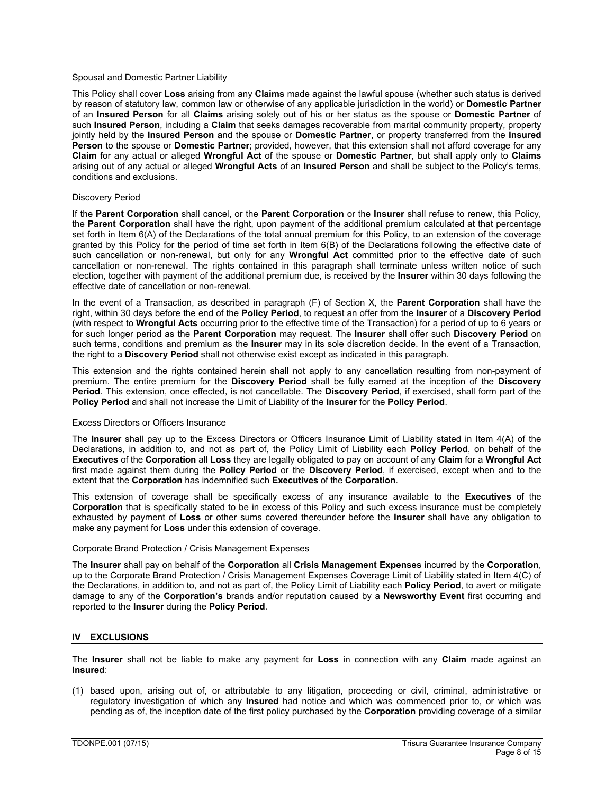### Spousal and Domestic Partner Liability

This Policy shall cover **Loss** arising from any **Claims** made against the lawful spouse (whether such status is derived by reason of statutory law, common law or otherwise of any applicable jurisdiction in the world) or **Domestic Partner** of an **Insured Person** for all **Claims** arising solely out of his or her status as the spouse or **Domestic Partner** of such **Insured Person**, including a **Claim** that seeks damages recoverable from marital community property, property jointly held by the **Insured Person** and the spouse or **Domestic Partner**, or property transferred from the **Insured Person** to the spouse or **Domestic Partner**; provided, however, that this extension shall not afford coverage for any **Claim** for any actual or alleged **Wrongful Act** of the spouse or **Domestic Partner**, but shall apply only to **Claims** arising out of any actual or alleged **Wrongful Acts** of an **Insured Person** and shall be subject to the Policy's terms, conditions and exclusions.

#### Discovery Period

If the **Parent Corporation** shall cancel, or the **Parent Corporation** or the **Insurer** shall refuse to renew, this Policy, the **Parent Corporation** shall have the right, upon payment of the additional premium calculated at that percentage set forth in Item 6(A) of the Declarations of the total annual premium for this Policy, to an extension of the coverage granted by this Policy for the period of time set forth in Item 6(B) of the Declarations following the effective date of such cancellation or non-renewal, but only for any **Wrongful Act** committed prior to the effective date of such cancellation or non-renewal. The rights contained in this paragraph shall terminate unless written notice of such election, together with payment of the additional premium due, is received by the **Insurer** within 30 days following the effective date of cancellation or non-renewal.

In the event of a Transaction, as described in paragraph (F) of Section X, the **Parent Corporation** shall have the right, within 30 days before the end of the **Policy Period**, to request an offer from the **Insurer** of a **Discovery Period** (with respect to **Wrongful Acts** occurring prior to the effective time of the Transaction) for a period of up to 6 years or for such longer period as the **Parent Corporation** may request. The **Insurer** shall offer such **Discovery Period** on such terms, conditions and premium as the **Insurer** may in its sole discretion decide. In the event of a Transaction, the right to a **Discovery Period** shall not otherwise exist except as indicated in this paragraph.

This extension and the rights contained herein shall not apply to any cancellation resulting from non-payment of premium. The entire premium for the **Discovery Period** shall be fully earned at the inception of the **Discovery Period**. This extension, once effected, is not cancellable. The **Discovery Period**, if exercised, shall form part of the **Policy Period** and shall not increase the Limit of Liability of the **Insurer** for the **Policy Period**.

#### Excess Directors or Officers Insurance

The **Insurer** shall pay up to the Excess Directors or Officers Insurance Limit of Liability stated in Item 4(A) of the Declarations, in addition to, and not as part of, the Policy Limit of Liability each **Policy Period**, on behalf of the **Executives** of the **Corporation** all **Loss** they are legally obligated to pay on account of any **Claim** for a **Wrongful Act** first made against them during the **Policy Period** or the **Discovery Period**, if exercised, except when and to the extent that the **Corporation** has indemnified such **Executives** of the **Corporation**.

This extension of coverage shall be specifically excess of any insurance available to the **Executives** of the **Corporation** that is specifically stated to be in excess of this Policy and such excess insurance must be completely exhausted by payment of **Loss** or other sums covered thereunder before the **Insurer** shall have any obligation to make any payment for **Loss** under this extension of coverage.

### Corporate Brand Protection / Crisis Management Expenses

The **Insurer** shall pay on behalf of the **Corporation** all **Crisis Management Expenses** incurred by the **Corporation**, up to the Corporate Brand Protection / Crisis Management Expenses Coverage Limit of Liability stated in Item 4(C) of the Declarations, in addition to, and not as part of, the Policy Limit of Liability each **Policy Period**, to avert or mitigate damage to any of the **Corporation's** brands and/or reputation caused by a **Newsworthy Event** first occurring and reported to the **Insurer** during the **Policy Period**.

#### **IV EXCLUSIONS**

The **Insurer** shall not be liable to make any payment for **Loss** in connection with any **Claim** made against an **Insured**:

(1) based upon, arising out of, or attributable to any litigation, proceeding or civil, criminal, administrative or regulatory investigation of which any **Insured** had notice and which was commenced prior to, or which was pending as of, the inception date of the first policy purchased by the **Corporation** providing coverage of a similar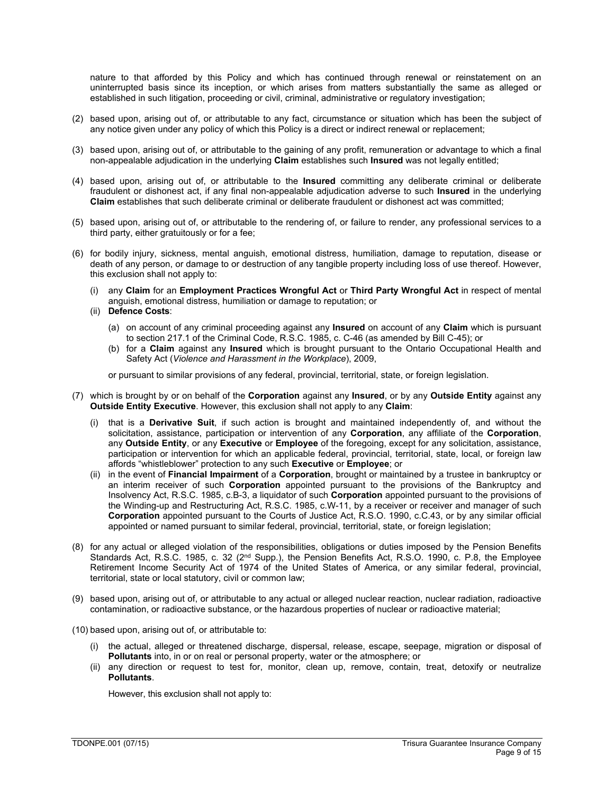nature to that afforded by this Policy and which has continued through renewal or reinstatement on an uninterrupted basis since its inception, or which arises from matters substantially the same as alleged or established in such litigation, proceeding or civil, criminal, administrative or regulatory investigation;

- (2) based upon, arising out of, or attributable to any fact, circumstance or situation which has been the subject of any notice given under any policy of which this Policy is a direct or indirect renewal or replacement;
- (3) based upon, arising out of, or attributable to the gaining of any profit, remuneration or advantage to which a final non-appealable adjudication in the underlying **Claim** establishes such **Insured** was not legally entitled;
- (4) based upon, arising out of, or attributable to the **Insured** committing any deliberate criminal or deliberate fraudulent or dishonest act, if any final non-appealable adjudication adverse to such **Insured** in the underlying **Claim** establishes that such deliberate criminal or deliberate fraudulent or dishonest act was committed;
- (5) based upon, arising out of, or attributable to the rendering of, or failure to render, any professional services to a third party, either gratuitously or for a fee;
- (6) for bodily injury, sickness, mental anguish, emotional distress, humiliation, damage to reputation, disease or death of any person, or damage to or destruction of any tangible property including loss of use thereof. However, this exclusion shall not apply to:
	- (i) any **Claim** for an **Employment Practices Wrongful Act** or **Third Party Wrongful Act** in respect of mental anguish, emotional distress, humiliation or damage to reputation; or
	- (ii) **Defence Costs**:
		- (a) on account of any criminal proceeding against any **Insured** on account of any **Claim** which is pursuant to section 217.1 of the Criminal Code, R.S.C. 1985, c. C-46 (as amended by Bill C-45); or
		- (b) for a **Claim** against any **Insured** which is brought pursuant to the Ontario Occupational Health and Safety Act (*Violence and Harassment in the Workplace*), 2009,

or pursuant to similar provisions of any federal, provincial, territorial, state, or foreign legislation.

- (7) which is brought by or on behalf of the **Corporation** against any **Insured**, or by any **Outside Entity** against any **Outside Entity Executive**. However, this exclusion shall not apply to any **Claim**:
	- (i) that is a **Derivative Suit**, if such action is brought and maintained independently of, and without the solicitation, assistance, participation or intervention of any **Corporation**, any affiliate of the **Corporation**, any **Outside Entity**, or any **Executive** or **Employee** of the foregoing, except for any solicitation, assistance, participation or intervention for which an applicable federal, provincial, territorial, state, local, or foreign law affords "whistleblower" protection to any such **Executive** or **Employee**; or
	- (ii) in the event of **Financial Impairment** of a **Corporation**, brought or maintained by a trustee in bankruptcy or an interim receiver of such **Corporation** appointed pursuant to the provisions of the Bankruptcy and Insolvency Act, R.S.C. 1985, c.B-3, a liquidator of such **Corporation** appointed pursuant to the provisions of the Winding-up and Restructuring Act, R.S.C. 1985, c.W-11, by a receiver or receiver and manager of such **Corporation** appointed pursuant to the Courts of Justice Act, R.S.O. 1990, c.C.43, or by any similar official appointed or named pursuant to similar federal, provincial, territorial, state, or foreign legislation;
- (8) for any actual or alleged violation of the responsibilities, obligations or duties imposed by the Pension Benefits Standards Act, R.S.C. 1985, c. 32 (2nd Supp.), the Pension Benefits Act, R.S.O. 1990, c. P.8, the Employee Retirement Income Security Act of 1974 of the United States of America, or any similar federal, provincial, territorial, state or local statutory, civil or common law;
- (9) based upon, arising out of, or attributable to any actual or alleged nuclear reaction, nuclear radiation, radioactive contamination, or radioactive substance, or the hazardous properties of nuclear or radioactive material;
- (10) based upon, arising out of, or attributable to:
	- (i) the actual, alleged or threatened discharge, dispersal, release, escape, seepage, migration or disposal of **Pollutants** into, in or on real or personal property, water or the atmosphere; or
	- (ii) any direction or request to test for, monitor, clean up, remove, contain, treat, detoxify or neutralize **Pollutants**.

However, this exclusion shall not apply to: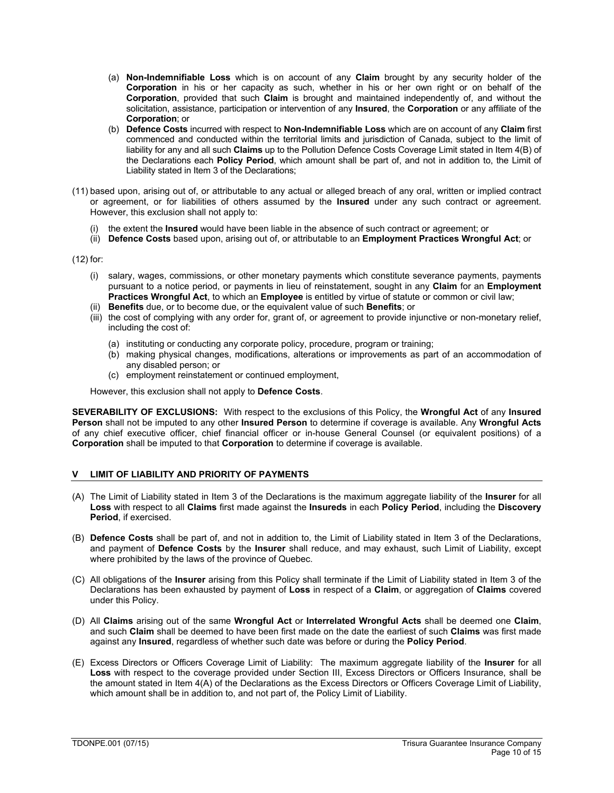- (a) **Non-Indemnifiable Loss** which is on account of any **Claim** brought by any security holder of the **Corporation** in his or her capacity as such, whether in his or her own right or on behalf of the **Corporation**, provided that such **Claim** is brought and maintained independently of, and without the solicitation, assistance, participation or intervention of any **Insured**, the **Corporation** or any affiliate of the **Corporation**; or
- (b) **Defence Costs** incurred with respect to **Non-Indemnifiable Loss** which are on account of any **Claim** first commenced and conducted within the territorial limits and jurisdiction of Canada, subject to the limit of liability for any and all such **Claims** up to the Pollution Defence Costs Coverage Limit stated in Item 4(B) of the Declarations each **Policy Period**, which amount shall be part of, and not in addition to, the Limit of Liability stated in Item 3 of the Declarations;
- (11) based upon, arising out of, or attributable to any actual or alleged breach of any oral, written or implied contract or agreement, or for liabilities of others assumed by the **Insured** under any such contract or agreement. However, this exclusion shall not apply to:
	- (i) the extent the **Insured** would have been liable in the absence of such contract or agreement; or
	- (ii) **Defence Costs** based upon, arising out of, or attributable to an **Employment Practices Wrongful Act**; or

(12) for:

- (i) salary, wages, commissions, or other monetary payments which constitute severance payments, payments pursuant to a notice period, or payments in lieu of reinstatement, sought in any **Claim** for an **Employment Practices Wrongful Act**, to which an **Employee** is entitled by virtue of statute or common or civil law;
- (ii) **Benefits** due, or to become due, or the equivalent value of such **Benefits**; or
- (iii) the cost of complying with any order for, grant of, or agreement to provide injunctive or non-monetary relief, including the cost of:
	- (a) instituting or conducting any corporate policy, procedure, program or training;
	- (b) making physical changes, modifications, alterations or improvements as part of an accommodation of any disabled person; or
	- (c) employment reinstatement or continued employment,

However, this exclusion shall not apply to **Defence Costs**.

**SEVERABILITY OF EXCLUSIONS:** With respect to the exclusions of this Policy, the **Wrongful Act** of any **Insured Person** shall not be imputed to any other **Insured Person** to determine if coverage is available. Any **Wrongful Acts** of any chief executive officer, chief financial officer or in-house General Counsel (or equivalent positions) of a **Corporation** shall be imputed to that **Corporation** to determine if coverage is available.

# **V LIMIT OF LIABILITY AND PRIORITY OF PAYMENTS**

- (A) The Limit of Liability stated in Item 3 of the Declarations is the maximum aggregate liability of the **Insurer** for all **Loss** with respect to all **Claims** first made against the **Insureds** in each **Policy Period**, including the **Discovery Period**, if exercised.
- (B) **Defence Costs** shall be part of, and not in addition to, the Limit of Liability stated in Item 3 of the Declarations, and payment of **Defence Costs** by the **Insurer** shall reduce, and may exhaust, such Limit of Liability, except where prohibited by the laws of the province of Quebec.
- (C) All obligations of the **Insurer** arising from this Policy shall terminate if the Limit of Liability stated in Item 3 of the Declarations has been exhausted by payment of **Loss** in respect of a **Claim**, or aggregation of **Claims** covered under this Policy.
- (D) All **Claims** arising out of the same **Wrongful Act** or **Interrelated Wrongful Acts** shall be deemed one **Claim**, and such **Claim** shall be deemed to have been first made on the date the earliest of such **Claims** was first made against any **Insured**, regardless of whether such date was before or during the **Policy Period**.
- (E) Excess Directors or Officers Coverage Limit of Liability: The maximum aggregate liability of the **Insurer** for all **Loss** with respect to the coverage provided under Section III, Excess Directors or Officers Insurance, shall be the amount stated in Item 4(A) of the Declarations as the Excess Directors or Officers Coverage Limit of Liability, which amount shall be in addition to, and not part of, the Policy Limit of Liability.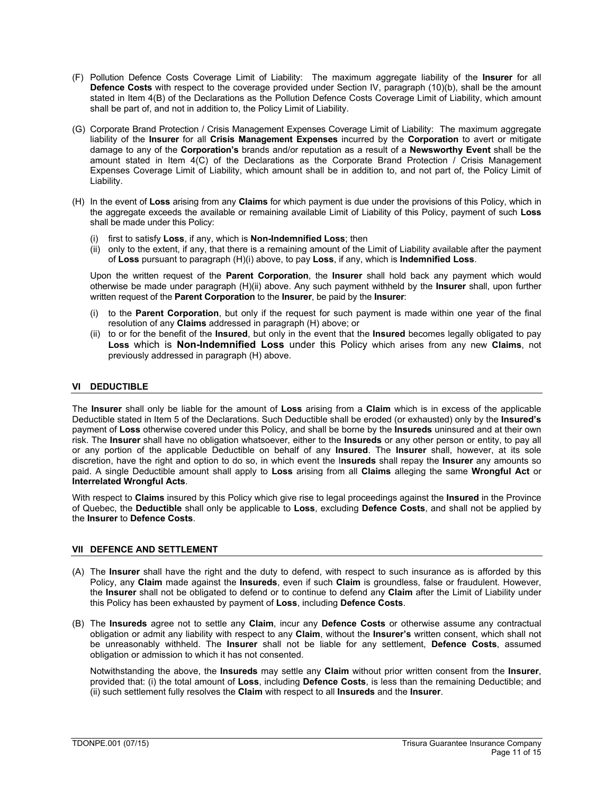- (F) Pollution Defence Costs Coverage Limit of Liability: The maximum aggregate liability of the **Insurer** for all **Defence Costs** with respect to the coverage provided under Section IV, paragraph (10)(b), shall be the amount stated in Item 4(B) of the Declarations as the Pollution Defence Costs Coverage Limit of Liability, which amount shall be part of, and not in addition to, the Policy Limit of Liability.
- (G) Corporate Brand Protection / Crisis Management Expenses Coverage Limit of Liability: The maximum aggregate liability of the **Insurer** for all **Crisis Management Expenses** incurred by the **Corporation** to avert or mitigate damage to any of the **Corporation's** brands and/or reputation as a result of a **Newsworthy Event** shall be the amount stated in Item 4(C) of the Declarations as the Corporate Brand Protection / Crisis Management Expenses Coverage Limit of Liability, which amount shall be in addition to, and not part of, the Policy Limit of Liability.
- (H) In the event of **Loss** arising from any **Claims** for which payment is due under the provisions of this Policy, which in the aggregate exceeds the available or remaining available Limit of Liability of this Policy, payment of such **Loss** shall be made under this Policy:
	- (i) first to satisfy **Loss**, if any, which is **Non-Indemnified Loss**; then
	- (ii) only to the extent, if any, that there is a remaining amount of the Limit of Liability available after the payment of **Loss** pursuant to paragraph (H)(i) above, to pay **Loss**, if any, which is **Indemnified Loss**.

Upon the written request of the **Parent Corporation**, the **Insurer** shall hold back any payment which would otherwise be made under paragraph (H)(ii) above. Any such payment withheld by the **Insurer** shall, upon further written request of the **Parent Corporation** to the **Insurer**, be paid by the **Insurer**:

- (i) to the **Parent Corporation**, but only if the request for such payment is made within one year of the final resolution of any **Claims** addressed in paragraph (H) above; or
- (ii) to or for the benefit of the **Insured**, but only in the event that the **Insured** becomes legally obligated to pay **Loss** which is **Non-Indemnified Loss** under this Policy which arises from any new **Claims**, not previously addressed in paragraph (H) above.

# **VI DEDUCTIBLE**

The **Insurer** shall only be liable for the amount of **Loss** arising from a **Claim** which is in excess of the applicable Deductible stated in Item 5 of the Declarations. Such Deductible shall be eroded (or exhausted) only by the **Insured's** payment of **Loss** otherwise covered under this Policy, and shall be borne by the **Insureds** uninsured and at their own risk. The **Insurer** shall have no obligation whatsoever, either to the **Insureds** or any other person or entity, to pay all or any portion of the applicable Deductible on behalf of any **Insured**. The **Insurer** shall, however, at its sole discretion, have the right and option to do so, in which event the I**nsureds** shall repay the **Insurer** any amounts so paid. A single Deductible amount shall apply to **Loss** arising from all **Claims** alleging the same **Wrongful Act** or **Interrelated Wrongful Acts**.

With respect to **Claims** insured by this Policy which give rise to legal proceedings against the **Insured** in the Province of Quebec, the **Deductible** shall only be applicable to **Loss**, excluding **Defence Costs**, and shall not be applied by the **Insurer** to **Defence Costs**.

# **VII DEFENCE AND SETTLEMENT**

- (A) The **Insurer** shall have the right and the duty to defend, with respect to such insurance as is afforded by this Policy, any **Claim** made against the **Insureds**, even if such **Claim** is groundless, false or fraudulent. However, the **Insurer** shall not be obligated to defend or to continue to defend any **Claim** after the Limit of Liability under this Policy has been exhausted by payment of **Loss**, including **Defence Costs**.
- (B) The **Insureds** agree not to settle any **Claim**, incur any **Defence Costs** or otherwise assume any contractual obligation or admit any liability with respect to any **Claim**, without the **Insurer's** written consent, which shall not be unreasonably withheld. The **Insurer** shall not be liable for any settlement, **Defence Costs**, assumed obligation or admission to which it has not consented.

Notwithstanding the above, the **Insureds** may settle any **Claim** without prior written consent from the **Insurer**, provided that: (i) the total amount of **Loss**, including **Defence Costs**, is less than the remaining Deductible; and (ii) such settlement fully resolves the **Claim** with respect to all **Insureds** and the **Insurer**.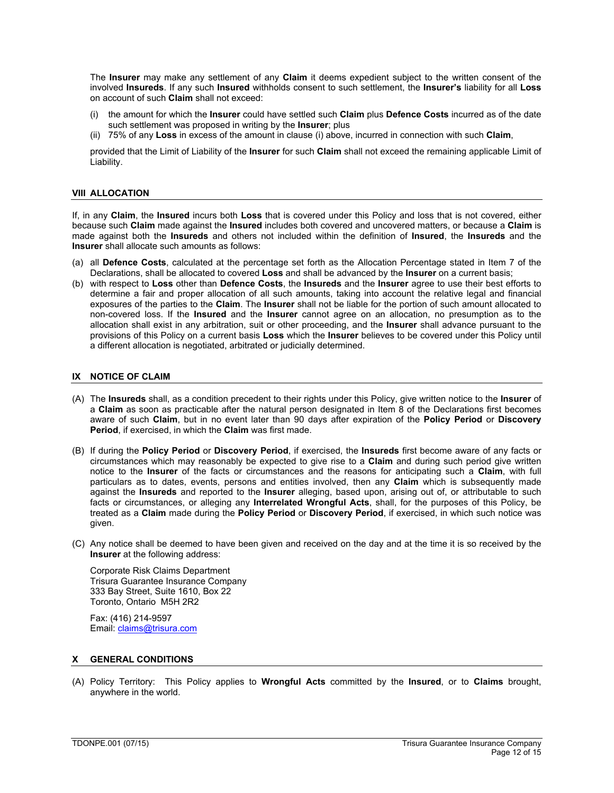$B$ 

 $"4$  $\begin{array}{cccc} + & & , & 14 & + \\ & 4 & ) & & \end{array}$  $$ \%1 +$ 

(1 + 1 : " + + ((1 x) + (1 x) + (1 x) + (1 x) + (1 x) + (1 x) + (1 x) + (1 x) + (1 x) + (1 x) + (1 x) + (1 x) + (1 x) + (1 x) + (1 x) + (2 x) + (1 x) + (2 x) + (4 x) + (1 x) + (4 x) + (1 x) + (4 x) + (1 x) + (4 x) + (1 x) % % 4( ( 1 +<br>4 + (( ) ((  $($  (  $($  "  $\overline{a}$  $\begin{array}{ccc} & & \searrow & \\ & & \searrow & \\ 1 & & \\ & & 8 & \end{array}$  $% \% +$  $+$  $\overline{1}$  $\overline{ }$  $\overline{1}$ "  $\%$  .  $\mathsf F$  $\mathfrak{g}$  $+$  $+ \cdot (8)$  $($  $+\qquad$  (  $\sqrt{2}$  $\frac{1}{1}$ 

A

- $+$  "%.  $4, <$  $+$  (  $\mathbf 0$  $\overline{a}$  $($  +  $^{+}$  # 1  $\begin{array}{cccc} & + & 1 & 4 \\ & + & 8 & 14 & + & 4 \\ & + & 8 & 14 & + & 4 \end{array}$  $\%$  $\mathbb{S}$
- "1 !+  $$ 96 + $ 4" 8 14" 96. $096$ )<br>  $<+ +$  (1 4, 4 1 , 1, 14 1 , 1<br>  $+ 96. $961 + 1 + 96.$ <br>  $1 + 96. $961 + 1 + 96.$  (1 94 1 4 1 , 1<br>  $\frac{1}{4}$  (1 ! " 96. (1 94 1 4 1 )<br>  $\frac{1}{4}$  (1 ! " 1 / 96. (1 94 1 4 1 )<br>
" 4 (1 ! " 1 / 96.  $\begin{array}{cccc} & & & & \times & & \cdots & & \cdots & & \ & & & \downarrow & + & & \uparrow & \uparrow & & \cdot & \cdot & \ \vdots & + & & \downarrow & & 4 & & \end{array}$  $\mathbf{u} = \mathbf{u} \in \mathbb{R}^{n \times n}$ +  $\begin{array}{cccc} & & & & & \\ & + & & & & & \\ & 1 & & & & & \\ & & 1 & & & & \\ & & & 1 & & & \\ & & & 1 & & & \\ & & & & 1 & & \\ & & & & & & \\ & & & & & & & \\ \end{array}$  $(1)$  $+$  $\sqrt{2}$  $14x + + +$  $\leq$  $\mathbf{I}$ ,
	- $*$  (1 (1 + , ) !, 1 , 1 + 1 1 +<br>
	"%. + " (( < 11 5  $, 1 +$  $*$  H
	- $\begin{array}{ccccccccc}\n// & . & ? & ?4 & ; & 4 & .8 & \$\$\n\end{array}$ 2 8 5 % ;  $$ %F# #$ <br>(<u>5 ( M</u>
		-

 $($  / ", (, % 1) + "%. \$4 ! %) ! + 4  $($ <br> $\leftarrow +$  $5+$  (<br>  $+$  < (1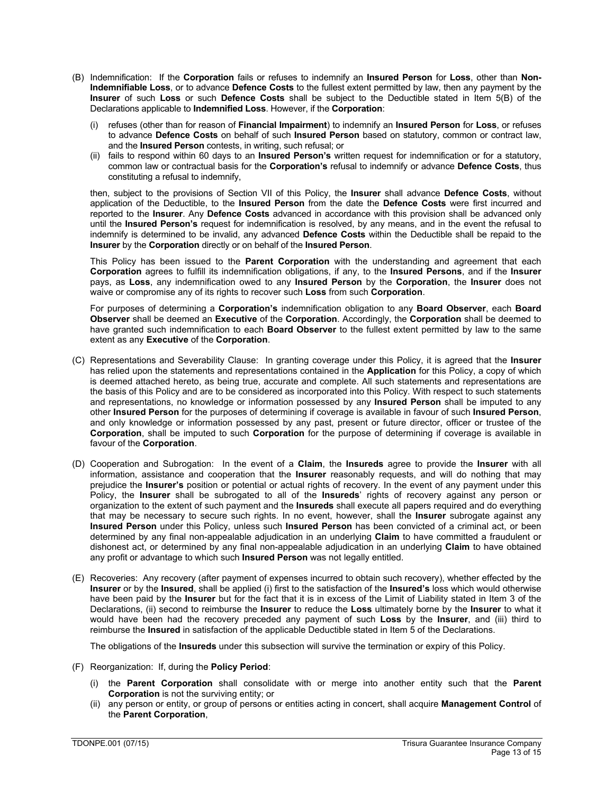- (B) Indemnification: If the **Corporation** fails or refuses to indemnify an **Insured Person** for **Loss**, other than **Non-Indemnifiable Loss**, or to advance **Defence Costs** to the fullest extent permitted by law, then any payment by the **Insurer** of such **Loss** or such **Defence Costs** shall be subject to the Deductible stated in Item 5(B) of the Declarations applicable to **Indemnified Loss**. However, if the **Corporation**:
	- (i) refuses (other than for reason of **Financial Impairment**) to indemnify an **Insured Person** for **Loss**, or refuses to advance **Defence Costs** on behalf of such **Insured Person** based on statutory, common or contract law, and the **Insured Person** contests, in writing, such refusal; or
	- (ii) fails to respond within 60 days to an **Insured Person's** written request for indemnification or for a statutory, common law or contractual basis for the **Corporation's** refusal to indemnify or advance **Defence Costs**, thus constituting a refusal to indemnify,

then, subject to the provisions of Section VII of this Policy, the **Insurer** shall advance **Defence Costs**, without application of the Deductible, to the **Insured Person** from the date the **Defence Costs** were first incurred and reported to the **Insurer**. Any **Defence Costs** advanced in accordance with this provision shall be advanced only until the **Insured Person's** request for indemnification is resolved, by any means, and in the event the refusal to indemnify is determined to be invalid, any advanced **Defence Costs** within the Deductible shall be repaid to the **Insurer** by the **Corporation** directly or on behalf of the **Insured Person**.

This Policy has been issued to the **Parent Corporation** with the understanding and agreement that each **Corporation** agrees to fulfill its indemnification obligations, if any, to the **Insured Persons**, and if the **Insurer** pays, as **Loss**, any indemnification owed to any **Insured Person** by the **Corporation**, the **Insurer** does not waive or compromise any of its rights to recover such **Loss** from such **Corporation**.

For purposes of determining a **Corporation's** indemnification obligation to any **Board Observer**, each **Board Observer** shall be deemed an **Executive** of the **Corporation**. Accordingly, the **Corporation** shall be deemed to have granted such indemnification to each **Board Observer** to the fullest extent permitted by law to the same extent as any **Executive** of the **Corporation**.

- (C) Representations and Severability Clause: In granting coverage under this Policy, it is agreed that the **Insurer** has relied upon the statements and representations contained in the **Application** for this Policy, a copy of which is deemed attached hereto, as being true, accurate and complete. All such statements and representations are the basis of this Policy and are to be considered as incorporated into this Policy. With respect to such statements and representations, no knowledge or information possessed by any **Insured Person** shall be imputed to any other **Insured Person** for the purposes of determining if coverage is available in favour of such **Insured Person**, and only knowledge or information possessed by any past, present or future director, officer or trustee of the **Corporation**, shall be imputed to such **Corporation** for the purpose of determining if coverage is available in favour of the **Corporation**.
- (D) Cooperation and Subrogation: In the event of a **Claim**, the **Insureds** agree to provide the **Insurer** with all information, assistance and cooperation that the **Insurer** reasonably requests, and will do nothing that may prejudice the **Insurer's** position or potential or actual rights of recovery. In the event of any payment under this Policy, the **Insurer** shall be subrogated to all of the **Insureds**' rights of recovery against any person or organization to the extent of such payment and the **Insureds** shall execute all papers required and do everything that may be necessary to secure such rights. In no event, however, shall the **Insurer** subrogate against any **Insured Person** under this Policy, unless such **Insured Person** has been convicted of a criminal act, or been determined by any final non-appealable adjudication in an underlying **Claim** to have committed a fraudulent or dishonest act, or determined by any final non-appealable adjudication in an underlying **Claim** to have obtained any profit or advantage to which such **Insured Person** was not legally entitled.
- (E) Recoveries: Any recovery (after payment of expenses incurred to obtain such recovery), whether effected by the **Insurer** or by the **Insured**, shall be applied (i) first to the satisfaction of the **Insured's** loss which would otherwise have been paid by the **Insurer** but for the fact that it is in excess of the Limit of Liability stated in Item 3 of the Declarations, (ii) second to reimburse the **Insurer** to reduce the **Loss** ultimately borne by the **Insurer** to what it would have been had the recovery preceded any payment of such **Loss** by the **Insurer**, and (iii) third to reimburse the **Insured** in satisfaction of the applicable Deductible stated in Item 5 of the Declarations.

The obligations of the **Insureds** under this subsection will survive the termination or expiry of this Policy.

- (F) Reorganization: If, during the **Policy Period**:
	- (i) the **Parent Corporation** shall consolidate with or merge into another entity such that the **Parent Corporation** is not the surviving entity; or
	- (ii) any person or entity, or group of persons or entities acting in concert, shall acquire **Management Control** of the **Parent Corporation**,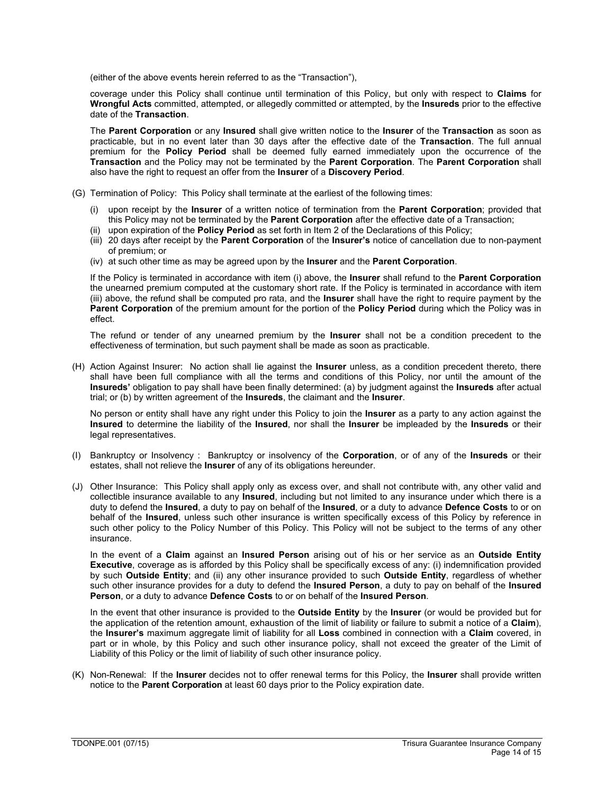(either of the above events herein referred to as the "Transaction"),

coverage under this Policy shall continue until termination of this Policy, but only with respect to **Claims** for **Wrongful Acts** committed, attempted, or allegedly committed or attempted, by the **Insureds** prior to the effective date of the **Transaction**.

The **Parent Corporation** or any **Insured** shall give written notice to the **Insurer** of the **Transaction** as soon as practicable, but in no event later than 30 days after the effective date of the **Transaction**. The full annual premium for the **Policy Period** shall be deemed fully earned immediately upon the occurrence of the **Transaction** and the Policy may not be terminated by the **Parent Corporation**. The **Parent Corporation** shall also have the right to request an offer from the **Insurer** of a **Discovery Period**.

- (G) Termination of Policy: This Policy shall terminate at the earliest of the following times:
	- (i) upon receipt by the **Insurer** of a written notice of termination from the **Parent Corporation**; provided that this Policy may not be terminated by the **Parent Corporation** after the effective date of a Transaction;
	- (ii) upon expiration of the **Policy Period** as set forth in Item 2 of the Declarations of this Policy;
	- (iii) 20 days after receipt by the **Parent Corporation** of the **Insurer's** notice of cancellation due to non-payment of premium; or
	- (iv) at such other time as may be agreed upon by the **Insurer** and the **Parent Corporation**.

If the Policy is terminated in accordance with item (i) above, the **Insurer** shall refund to the **Parent Corporation** the unearned premium computed at the customary short rate. If the Policy is terminated in accordance with item (iii) above, the refund shall be computed pro rata, and the **Insurer** shall have the right to require payment by the **Parent Corporation** of the premium amount for the portion of the **Policy Period** during which the Policy was in effect.

The refund or tender of any unearned premium by the **Insurer** shall not be a condition precedent to the effectiveness of termination, but such payment shall be made as soon as practicable.

(H) Action Against Insurer: No action shall lie against the **Insurer** unless, as a condition precedent thereto, there shall have been full compliance with all the terms and conditions of this Policy, nor until the amount of the **Insureds'** obligation to pay shall have been finally determined: (a) by judgment against the **Insureds** after actual trial; or (b) by written agreement of the **Insureds**, the claimant and the **Insurer**.

No person or entity shall have any right under this Policy to join the **Insurer** as a party to any action against the **Insured** to determine the liability of the **Insured**, nor shall the **Insurer** be impleaded by the **Insureds** or their legal representatives.

- (I) Bankruptcy or Insolvency : Bankruptcy or insolvency of the **Corporation**, or of any of the **Insureds** or their estates, shall not relieve the **Insurer** of any of its obligations hereunder.
- (J) Other Insurance: This Policy shall apply only as excess over, and shall not contribute with, any other valid and collectible insurance available to any **Insured**, including but not limited to any insurance under which there is a duty to defend the **Insured**, a duty to pay on behalf of the **Insured**, or a duty to advance **Defence Costs** to or on behalf of the **Insured**, unless such other insurance is written specifically excess of this Policy by reference in such other policy to the Policy Number of this Policy. This Policy will not be subject to the terms of any other insurance.

In the event of a **Claim** against an **Insured Person** arising out of his or her service as an **Outside Entity Executive**, coverage as is afforded by this Policy shall be specifically excess of any: (i) indemnification provided by such **Outside Entity**; and (ii) any other insurance provided to such **Outside Entity**, regardless of whether such other insurance provides for a duty to defend the **Insured Person**, a duty to pay on behalf of the **Insured Person**, or a duty to advance **Defence Costs** to or on behalf of the **Insured Person**.

In the event that other insurance is provided to the **Outside Entity** by the **Insurer** (or would be provided but for the application of the retention amount, exhaustion of the limit of liability or failure to submit a notice of a **Claim**), the **Insurer's** maximum aggregate limit of liability for all **Loss** combined in connection with a **Claim** covered, in part or in whole, by this Policy and such other insurance policy, shall not exceed the greater of the Limit of Liability of this Policy or the limit of liability of such other insurance policy.

(K) Non-Renewal: If the **Insurer** decides not to offer renewal terms for this Policy, the **Insurer** shall provide written notice to the **Parent Corporation** at least 60 days prior to the Policy expiration date.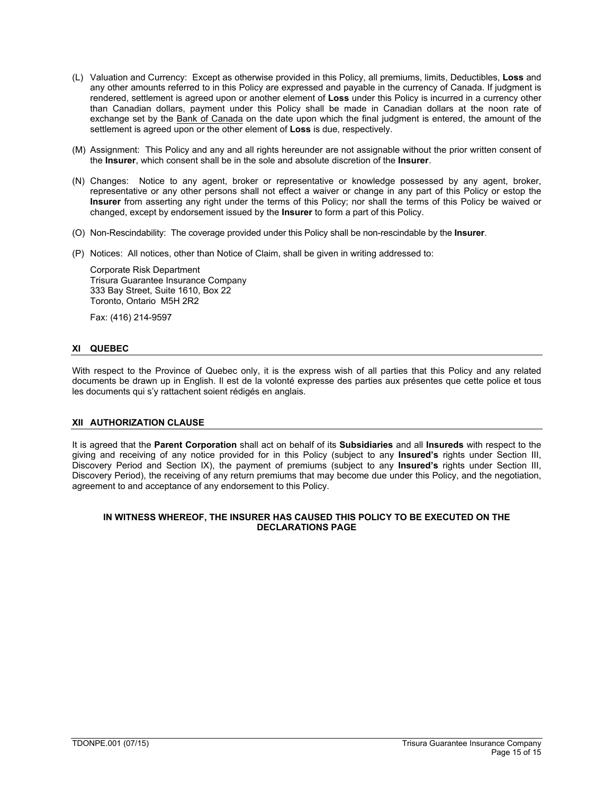- (L) Valuation and Currency: Except as otherwise provided in this Policy, all premiums, limits, Deductibles, **Loss** and any other amounts referred to in this Policy are expressed and payable in the currency of Canada. If judgment is rendered, settlement is agreed upon or another element of **Loss** under this Policy is incurred in a currency other than Canadian dollars, payment under this Policy shall be made in Canadian dollars at the noon rate of exchange set by the Bank of Canada on the date upon which the final judgment is entered, the amount of the settlement is agreed upon or the other element of **Loss** is due, respectively.
- (M) Assignment: This Policy and any and all rights hereunder are not assignable without the prior written consent of the **Insurer**, which consent shall be in the sole and absolute discretion of the **Insurer**.
- (N) Changes: Notice to any agent, broker or representative or knowledge possessed by any agent, broker, representative or any other persons shall not effect a waiver or change in any part of this Policy or estop the **Insurer** from asserting any right under the terms of this Policy; nor shall the terms of this Policy be waived or changed, except by endorsement issued by the **Insurer** to form a part of this Policy.
- (O) Non-Rescindability: The coverage provided under this Policy shall be non-rescindable by the **Insurer**.
- (P) Notices: All notices, other than Notice of Claim, shall be given in writing addressed to:

Corporate Risk Department Trisura Guarantee Insurance Company 333 Bay Street, Suite 1610, Box 22 Toronto, Ontario M5H 2R2

Fax: (416) 214-9597

# **XI QUEBEC**

With respect to the Province of Quebec only, it is the express wish of all parties that this Policy and any related documents be drawn up in English. Il est de la volonté expresse des parties aux présentes que cette police et tous les documents qui s'y rattachent soient rédigés en anglais.

### **XII AUTHORIZATION CLAUSE**

It is agreed that the **Parent Corporation** shall act on behalf of its **Subsidiaries** and all **Insureds** with respect to the giving and receiving of any notice provided for in this Policy (subject to any **Insured's** rights under Section III, Discovery Period and Section IX), the payment of premiums (subject to any **Insured's** rights under Section III, Discovery Period), the receiving of any return premiums that may become due under this Policy, and the negotiation, agreement to and acceptance of any endorsement to this Policy.

## **IN WITNESS WHEREOF, THE INSURER HAS CAUSED THIS POLICY TO BE EXECUTED ON THE DECLARATIONS PAGE**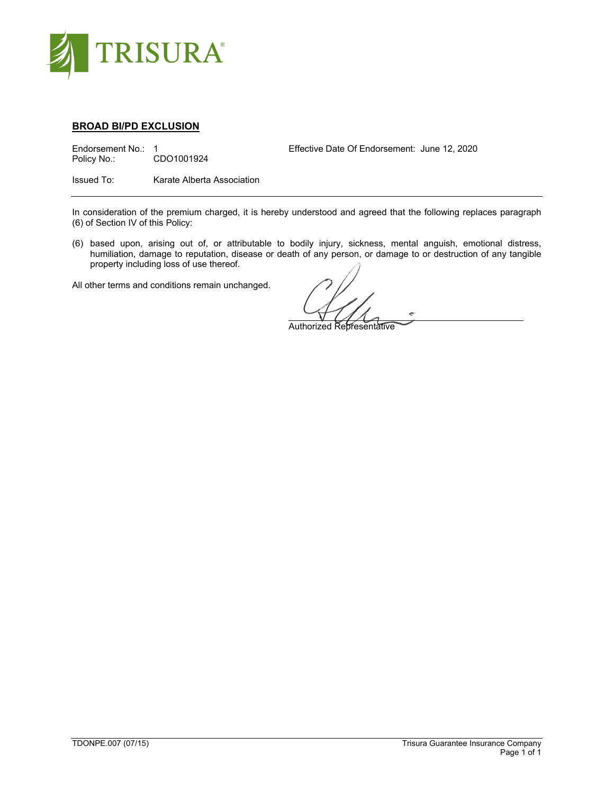

# **BROAD BI/PD EXCLUSION**

Effective Date Of Endorsement: June 12, 2020<br>Policy No.: CDO1001924<br>CDO1001924 CDO1001924

Issued To: Karate Alberta Association

In consideration of the premium charged, it is hereby understood and agreed that the following replaces paragraph (6) of Section IV of this Policy:

(6) based upon, arising out of, or attributable to bodily injury, sickness, mental anguish, emotional distress, humiliation, damage to reputation, disease or death of any person, or damage to or destruction of any tangible property including loss of use thereof.

Authorized Representative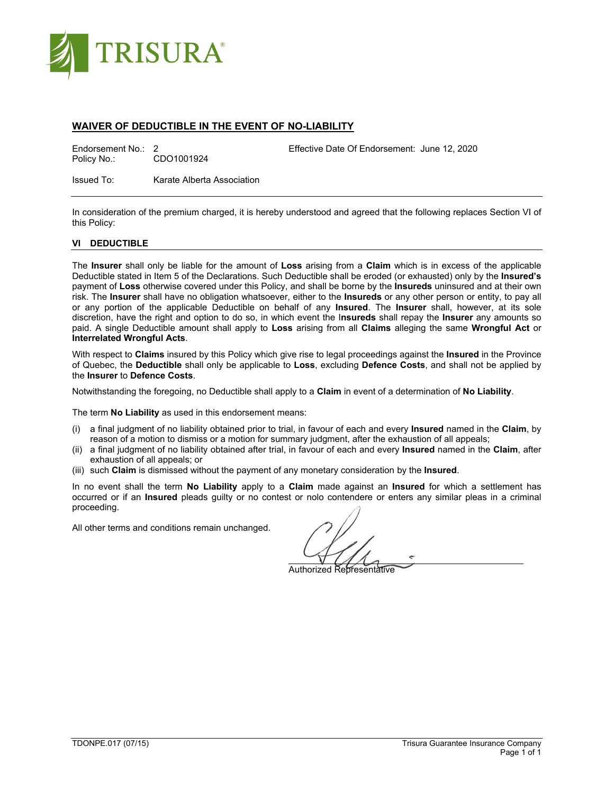

# **WAIVER OF DEDUCTIBLE IN THE EVENT OF NO-LIABILITY**

Effective Date Of Endorsement: June 12, 2020<br>
Policy No.: CDO1001924<br>
Policy No.: CDO1001924

Issued To: Karate Alberta Association

In consideration of the premium charged, it is hereby understood and agreed that the following replaces Section VI of this Policy:

# **VI DEDUCTIBLE**

The **Insurer** shall only be liable for the amount of **Loss** arising from a **Claim** which is in excess of the applicable Deductible stated in Item 5 of the Declarations. Such Deductible shall be eroded (or exhausted) only by the **Insured's** payment of **Loss** otherwise covered under this Policy, and shall be borne by the **Insureds** uninsured and at their own risk. The **Insurer** shall have no obligation whatsoever, either to the **Insureds** or any other person or entity, to pay all or any portion of the applicable Deductible on behalf of any **Insured**. The **Insurer** shall, however, at its sole discretion, have the right and option to do so, in which event the I**nsureds** shall repay the **Insurer** any amounts so paid. A single Deductible amount shall apply to **Loss** arising from all **Claims** alleging the same **Wrongful Act** or **Interrelated Wrongful Acts**.

With respect to **Claims** insured by this Policy which give rise to legal proceedings against the **Insured** in the Province of Quebec, the **Deductible** shall only be applicable to **Loss**, excluding **Defence Costs**, and shall not be applied by the **Insurer** to **Defence Costs**.

Notwithstanding the foregoing, no Deductible shall apply to a **Claim** in event of a determination of **No Liability**.

The term **No Liability** as used in this endorsement means:

- (i) a final judgment of no liability obtained prior to trial, in favour of each and every **Insured** named in the **Claim**, by reason of a motion to dismiss or a motion for summary judgment, after the exhaustion of all appeals;
- (ii) a final judgment of no liability obtained after trial, in favour of each and every **Insured** named in the **Claim**, after exhaustion of all appeals; or
- (iii) such **Claim** is dismissed without the payment of any monetary consideration by the **Insured**.

In no event shall the term **No Liability** apply to a **Claim** made against an **Insured** for which a settlement has occurred or if an **Insured** pleads guilty or no contest or nolo contendere or enters any similar pleas in a criminal proceeding.

è

Authorized Representative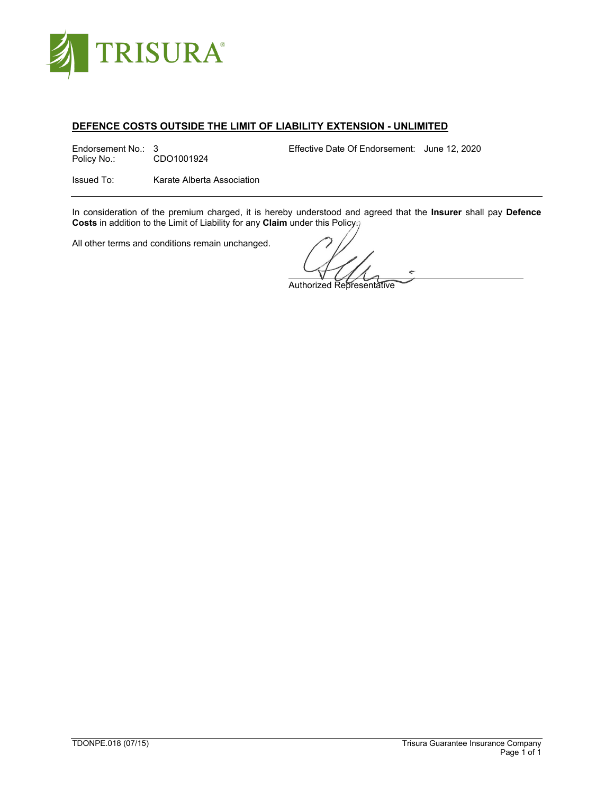

# **DEFENCE COSTS OUTSIDE THE LIMIT OF LIABILITY EXTENSION - UNLIMITED**

Endorsement No.: 3 Effective Date Of Endorsement: June 12, 2020<br>Policy No.: CDO1001924 CDO1001924

Issued To: Karate Alberta Association

In consideration of the premium charged, it is hereby understood and agreed that the **Insurer** shall pay **Defence Costs** in addition to the Limit of Liability for any **Claim** under this Policy.

Authorized Representative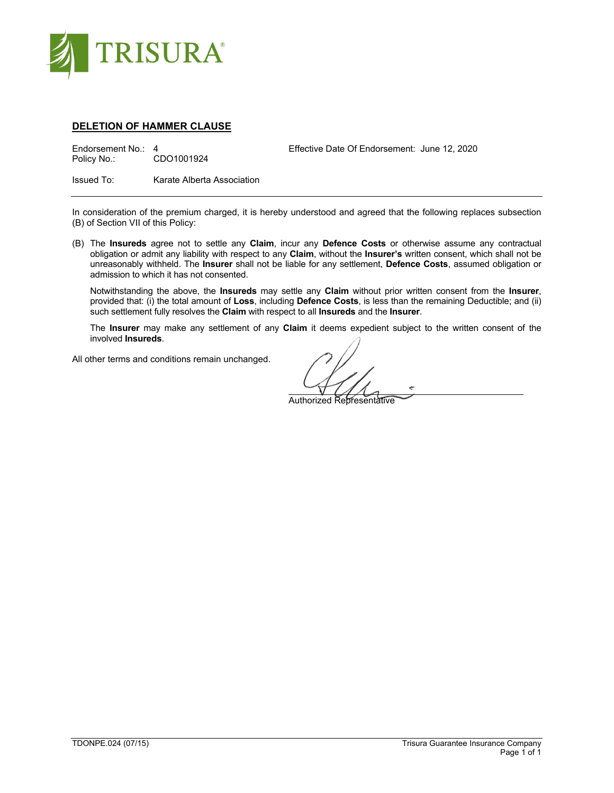

# **DELETION OF HAMMER CLAUSE**

Effective Date Of Endorsement: June 12, 2020<br>
Policy No.: CDO1001924 CDO1001924

Issued To: Karate Alberta Association

In consideration of the premium charged, it is hereby understood and agreed that the following replaces subsection (B) of Section VII of this Policy:

(B) The **Insureds** agree not to settle any **Claim**, incur any **Defence Costs** or otherwise assume any contractual obligation or admit any liability with respect to any **Claim**, without the **Insurer's** written consent, which shall not be unreasonably withheld. The **Insurer** shall not be liable for any settlement, **Defence Costs**, assumed obligation or admission to which it has not consented.

Notwithstanding the above, the **Insureds** may settle any **Claim** without prior written consent from the **Insurer**, provided that: (i) the total amount of **Loss**, including **Defence Costs**, is less than the remaining Deductible; and (ii) such settlement fully resolves the **Claim** with respect to all **Insureds** and the **Insurer**.

The **Insurer** may make any settlement of any **Claim** it deems expedient subject to the written consent of the involved **Insureds**.

è Authorized Representative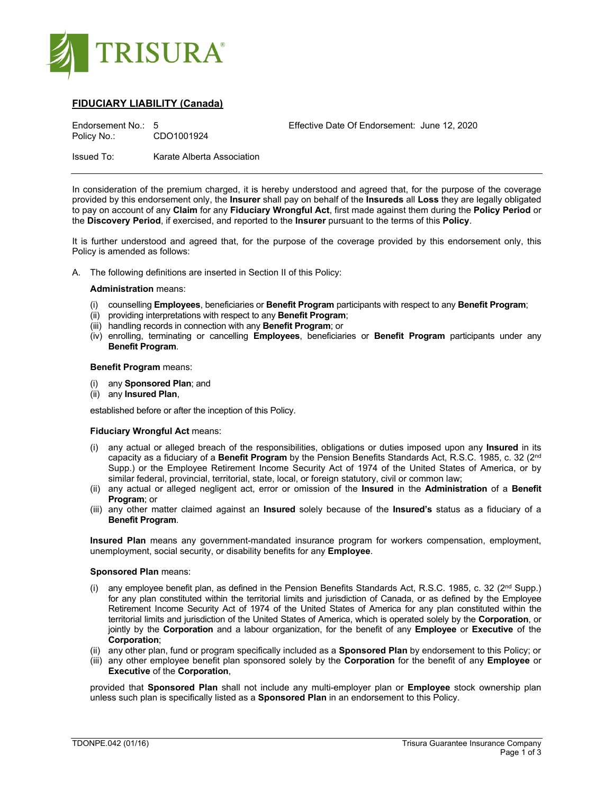

# **FIDUCIARY LIABILITY (Canada)**

| Endorsement No.: 5<br>Policy No.: | CDO1001924                 | Effective Date Of Endorsement: June 12, 2020 |  |
|-----------------------------------|----------------------------|----------------------------------------------|--|
| Issued To:                        | Karate Alberta Association |                                              |  |

In consideration of the premium charged, it is hereby understood and agreed that, for the purpose of the coverage provided by this endorsement only, the **Insurer** shall pay on behalf of the **Insureds** all **Loss** they are legally obligated to pay on account of any **Claim** for any **Fiduciary Wrongful Act**, first made against them during the **Policy Period** or the **Discovery Period**, if exercised, and reported to the **Insurer** pursuant to the terms of this **Policy**.

It is further understood and agreed that, for the purpose of the coverage provided by this endorsement only, this Policy is amended as follows:

A. The following definitions are inserted in Section II of this Policy:

### **Administration** means:

- (i) counselling **Employees**, beneficiaries or **Benefit Program** participants with respect to any **Benefit Program**;
- (ii) providing interpretations with respect to any **Benefit Program**;
- (iii) handling records in connection with any **Benefit Program**; or
- (iv) enrolling, terminating or cancelling **Employees**, beneficiaries or **Benefit Program** participants under any **Benefit Program**.

#### **Benefit Program** means:

- (i) any **Sponsored Plan**; and
- (ii) any **Insured Plan**,

established before or after the inception of this Policy.

#### **Fiduciary Wrongful Act** means:

- (i) any actual or alleged breach of the responsibilities, obligations or duties imposed upon any **Insured** in its capacity as a fiduciary of a **Benefit Program** by the Pension Benefits Standards Act, R.S.C. 1985, c. 32 (2nd Supp.) or the Employee Retirement Income Security Act of 1974 of the United States of America, or by similar federal, provincial, territorial, state, local, or foreign statutory, civil or common law;
- (ii) any actual or alleged negligent act, error or omission of the **Insured** in the **Administration** of a **Benefit Program**; or
- (iii) any other matter claimed against an **Insured** solely because of the **Insured's** status as a fiduciary of a **Benefit Program**.

**Insured Plan** means any government-mandated insurance program for workers compensation, employment, unemployment, social security, or disability benefits for any **Employee**.

#### **Sponsored Plan** means:

- (i) any employee benefit plan, as defined in the Pension Benefits Standards Act, R.S.C. 1985, c. 32 ( $2<sup>nd</sup> Supp.$ ) for any plan constituted within the territorial limits and jurisdiction of Canada, or as defined by the Employee Retirement Income Security Act of 1974 of the United States of America for any plan constituted within the territorial limits and jurisdiction of the United States of America, which is operated solely by the **Corporation**, or jointly by the **Corporation** and a labour organization, for the benefit of any **Employee** or **Executive** of the **Corporation**;
- (ii) any other plan, fund or program specifically included as a **Sponsored Plan** by endorsement to this Policy; or
- (iii) any other employee benefit plan sponsored solely by the **Corporation** for the benefit of any **Employee** or **Executive** of the **Corporation**,

provided that **Sponsored Plan** shall not include any multi-employer plan or **Employee** stock ownership plan unless such plan is specifically listed as a **Sponsored Plan** in an endorsement to this Policy.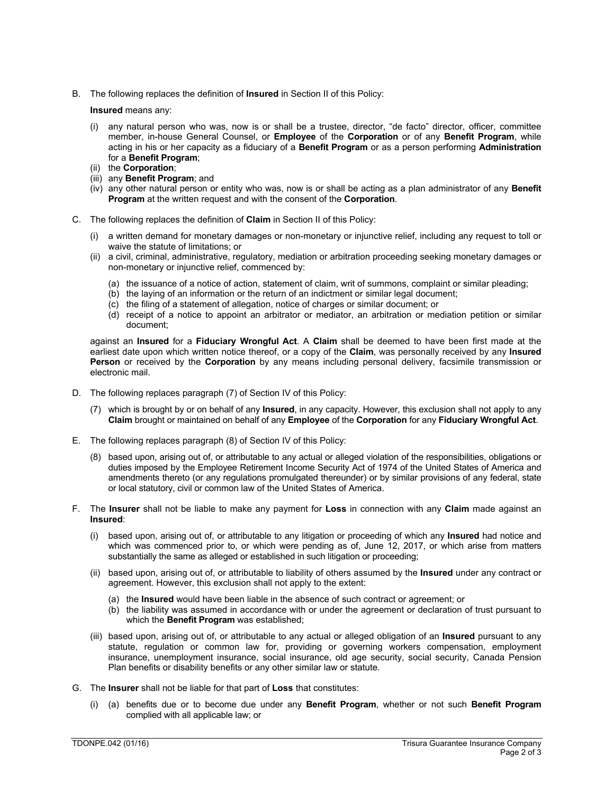B. The following replaces the definition of **Insured** in Section II of this Policy:

**Insured** means any:

- (i) any natural person who was, now is or shall be a trustee, director, "de facto" director, officer, committee member, in-house General Counsel, or **Employee** of the **Corporation** or of any **Benefit Program**, while acting in his or her capacity as a fiduciary of a **Benefit Program** or as a person performing **Administration** for a **Benefit Program**;
- (ii) the **Corporation**;
- (iii) any **Benefit Program**; and
- (iv) any other natural person or entity who was, now is or shall be acting as a plan administrator of any **Benefit Program** at the written request and with the consent of the **Corporation**.
- C. The following replaces the definition of **Claim** in Section II of this Policy:
	- (i) a written demand for monetary damages or non-monetary or injunctive relief, including any request to toll or waive the statute of limitations; or
	- (ii) a civil, criminal, administrative, regulatory, mediation or arbitration proceeding seeking monetary damages or non-monetary or injunctive relief, commenced by:
		- (a) the issuance of a notice of action, statement of claim, writ of summons, complaint or similar pleading;
		- (b) the laying of an information or the return of an indictment or similar legal document;
		- (c) the filing of a statement of allegation, notice of charges or similar document; or
		- (d) receipt of a notice to appoint an arbitrator or mediator, an arbitration or mediation petition or similar document;

against an **Insured** for a **Fiduciary Wrongful Act**. A **Claim** shall be deemed to have been first made at the earliest date upon which written notice thereof, or a copy of the **Claim**, was personally received by any **Insured Person** or received by the **Corporation** by any means including personal delivery, facsimile transmission or electronic mail.

- D. The following replaces paragraph (7) of Section IV of this Policy:
	- (7) which is brought by or on behalf of any **Insured**, in any capacity. However, this exclusion shall not apply to any **Claim** brought or maintained on behalf of any **Employee** of the **Corporation** for any **Fiduciary Wrongful Act**.
- E. The following replaces paragraph (8) of Section IV of this Policy:
	- (8) based upon, arising out of, or attributable to any actual or alleged violation of the responsibilities, obligations or duties imposed by the Employee Retirement Income Security Act of 1974 of the United States of America and amendments thereto (or any regulations promulgated thereunder) or by similar provisions of any federal, state or local statutory, civil or common law of the United States of America.
- F. The **Insurer** shall not be liable to make any payment for **Loss** in connection with any **Claim** made against an **Insured**:
	- (i) based upon, arising out of, or attributable to any litigation or proceeding of which any **Insured** had notice and which was commenced prior to, or which were pending as of, June 12, 2017, or which arise from matters substantially the same as alleged or established in such litigation or proceeding;
	- (ii) based upon, arising out of, or attributable to liability of others assumed by the **Insured** under any contract or agreement. However, this exclusion shall not apply to the extent:
		- (a) the **Insured** would have been liable in the absence of such contract or agreement; or
		- (b) the liability was assumed in accordance with or under the agreement or declaration of trust pursuant to which the **Benefit Program** was established;
	- (iii) based upon, arising out of, or attributable to any actual or alleged obligation of an **Insured** pursuant to any statute, regulation or common law for, providing or governing workers compensation, employment insurance, unemployment insurance, social insurance, old age security, social security, Canada Pension Plan benefits or disability benefits or any other similar law or statute.
- G. The **Insurer** shall not be liable for that part of **Loss** that constitutes:
	- (i) (a) benefits due or to become due under any **Benefit Program**, whether or not such **Benefit Program** complied with all applicable law; or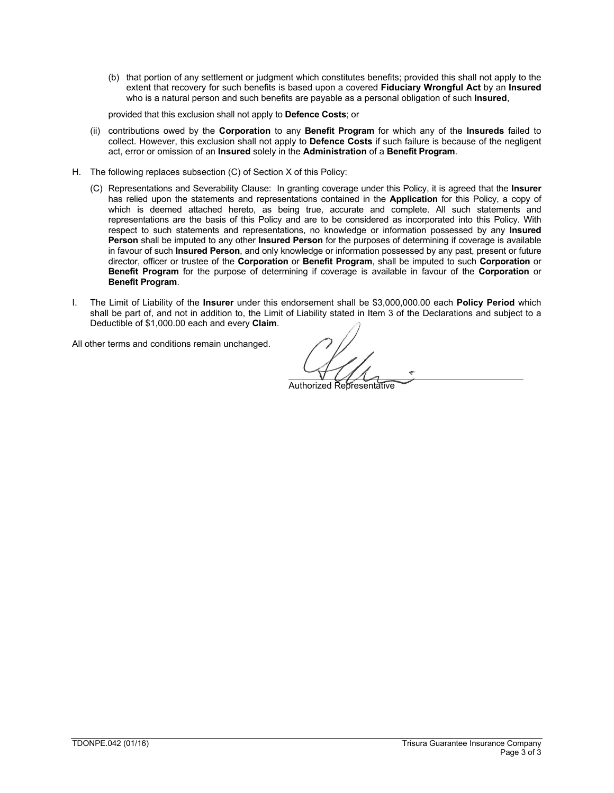(b) that portion of any settlement or judgment which constitutes benefits; provided this shall not apply to the extent that recovery for such benefits is based upon a covered **Fiduciary Wrongful Act** by an **Insured** who is a natural person and such benefits are payable as a personal obligation of such **Insured**,

provided that this exclusion shall not apply to **Defence Costs**; or

- (ii) contributions owed by the **Corporation** to any **Benefit Program** for which any of the **Insureds** failed to collect. However, this exclusion shall not apply to **Defence Costs** if such failure is because of the negligent act, error or omission of an **Insured** solely in the **Administration** of a **Benefit Program**.
- H. The following replaces subsection (C) of Section X of this Policy:
	- (C) Representations and Severability Clause: In granting coverage under this Policy, it is agreed that the **Insurer** has relied upon the statements and representations contained in the **Application** for this Policy, a copy of which is deemed attached hereto, as being true, accurate and complete. All such statements and representations are the basis of this Policy and are to be considered as incorporated into this Policy. With respect to such statements and representations, no knowledge or information possessed by any **Insured Person** shall be imputed to any other **Insured Person** for the purposes of determining if coverage is available in favour of such **Insured Person**, and only knowledge or information possessed by any past, present or future director, officer or trustee of the **Corporation** or **Benefit Program**, shall be imputed to such **Corporation** or **Benefit Program** for the purpose of determining if coverage is available in favour of the **Corporation** or **Benefit Program**.
- I. The Limit of Liability of the **Insurer** under this endorsement shall be \$3,000,000.00 each **Policy Period** which shall be part of, and not in addition to, the Limit of Liability stated in Item 3 of the Declarations and subject to a Deductible of \$1,000.00 each and every **Claim**.

Authorized Representative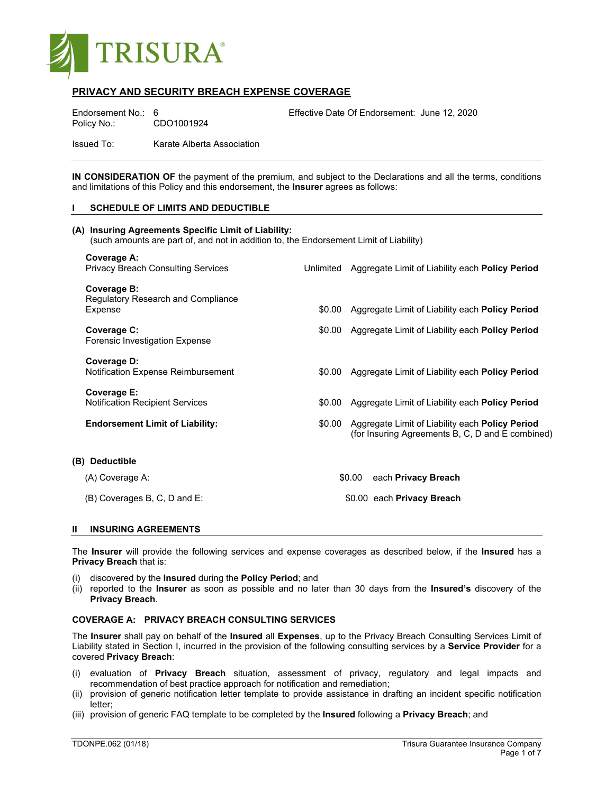

# **PRIVACY AND SECURITY BREACH EXPENSE COVERAGE**

Policy No.: CDO1001924

Endorsement No.: 6 Effective Date Of Endorsement: June 12, 2020

Issued To: Karate Alberta Association

**IN CONSIDERATION OF** the payment of the premium, and subject to the Declarations and all the terms, conditions and limitations of this Policy and this endorsement, the **Insurer** agrees as follows:

### **I SCHEDULE OF LIMITS AND DEDUCTIBLE**

| (A) Insuring Agreements Specific Limit of Liability:<br>(such amounts are part of, and not in addition to, the Endorsement Limit of Liability) |        |                                                                                                            |  |  |
|------------------------------------------------------------------------------------------------------------------------------------------------|--------|------------------------------------------------------------------------------------------------------------|--|--|
| Coverage A:<br><b>Privacy Breach Consulting Services</b>                                                                                       |        | Unlimited Aggregate Limit of Liability each Policy Period                                                  |  |  |
| Coverage B:<br><b>Regulatory Research and Compliance</b><br>Expense                                                                            | \$0.00 | Aggregate Limit of Liability each <b>Policy Period</b>                                                     |  |  |
| Coverage C:<br>Forensic Investigation Expense                                                                                                  |        | \$0.00 Aggregate Limit of Liability each <b>Policy Period</b>                                              |  |  |
| Coverage D:<br>Notification Expense Reimbursement                                                                                              | \$0.00 | Aggregate Limit of Liability each Policy Period                                                            |  |  |
| Coverage E:<br><b>Notification Recipient Services</b>                                                                                          | \$0.00 | Aggregate Limit of Liability each Policy Period                                                            |  |  |
| <b>Endorsement Limit of Liability:</b>                                                                                                         | \$0.00 | Aggregate Limit of Liability each <b>Policy Period</b><br>(for Insuring Agreements B, C, D and E combined) |  |  |
| (B) Deductible                                                                                                                                 |        |                                                                                                            |  |  |
| (A) Coverage A:                                                                                                                                |        | \$0.00<br>each Privacy Breach                                                                              |  |  |
| (B) Coverages B, C, D and E:                                                                                                                   |        | \$0.00 each Privacy Breach                                                                                 |  |  |

## **II INSURING AGREEMENTS**

The **Insurer** will provide the following services and expense coverages as described below, if the **Insured** has a **Privacy Breach** that is:

- (i) discovered by the **Insured** during the **Policy Period**; and
- (ii) reported to the **Insurer** as soon as possible and no later than 30 days from the **Insured's** discovery of the **Privacy Breach**.

#### **COVERAGE A: PRIVACY BREACH CONSULTING SERVICES**

The **Insurer** shall pay on behalf of the **Insured** all **Expenses**, up to the Privacy Breach Consulting Services Limit of Liability stated in Section I, incurred in the provision of the following consulting services by a **Service Provider** for a covered **Privacy Breach**:

- (i) evaluation of **Privacy Breach** situation, assessment of privacy, regulatory and legal impacts and recommendation of best practice approach for notification and remediation;
- (ii) provision of generic notification letter template to provide assistance in drafting an incident specific notification letter;
- (iii) provision of generic FAQ template to be completed by the **Insured** following a **Privacy Breach**; and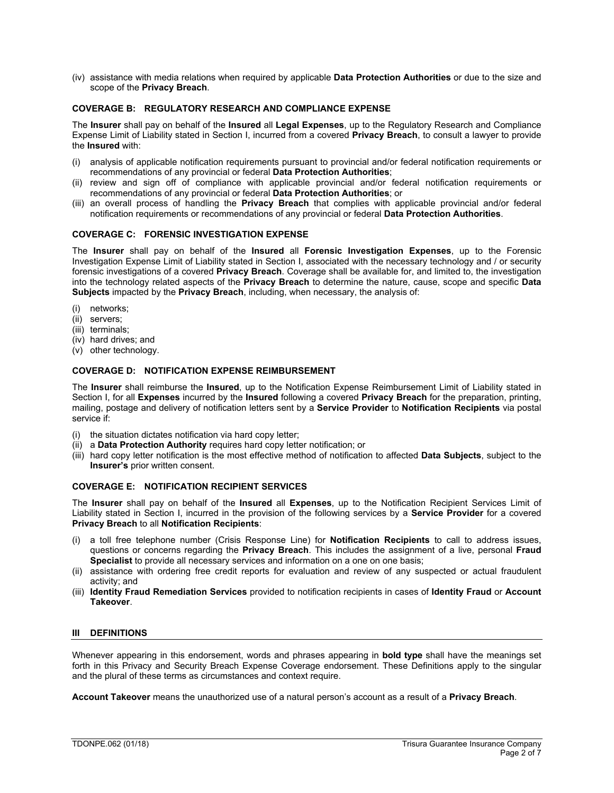(iv) assistance with media relations when required by applicable **Data Protection Authorities** or due to the size and scope of the **Privacy Breach**.

# **COVERAGE B: REGULATORY RESEARCH AND COMPLIANCE EXPENSE**

The **Insurer** shall pay on behalf of the **Insured** all **Legal Expenses**, up to the Regulatory Research and Compliance Expense Limit of Liability stated in Section I, incurred from a covered **Privacy Breach**, to consult a lawyer to provide the **Insured** with:

- (i) analysis of applicable notification requirements pursuant to provincial and/or federal notification requirements or recommendations of any provincial or federal **Data Protection Authorities**;
- (ii) review and sign off of compliance with applicable provincial and/or federal notification requirements or recommendations of any provincial or federal **Data Protection Authorities**; or
- (iii) an overall process of handling the **Privacy Breach** that complies with applicable provincial and/or federal notification requirements or recommendations of any provincial or federal **Data Protection Authorities**.

# **COVERAGE C: FORENSIC INVESTIGATION EXPENSE**

The **Insurer** shall pay on behalf of the **Insured** all **Forensic Investigation Expenses**, up to the Forensic Investigation Expense Limit of Liability stated in Section I, associated with the necessary technology and / or security forensic investigations of a covered **Privacy Breach**. Coverage shall be available for, and limited to, the investigation into the technology related aspects of the **Privacy Breach** to determine the nature, cause, scope and specific **Data Subjects** impacted by the **Privacy Breach**, including, when necessary, the analysis of:

- (i) networks;
- (ii) servers;
- (iii) terminals;
- (iv) hard drives; and
- (v) other technology.

# **COVERAGE D: NOTIFICATION EXPENSE REIMBURSEMENT**

The **Insurer** shall reimburse the **Insured**, up to the Notification Expense Reimbursement Limit of Liability stated in Section I, for all **Expenses** incurred by the **Insured** following a covered **Privacy Breach** for the preparation, printing, mailing, postage and delivery of notification letters sent by a **Service Provider** to **Notification Recipients** via postal service if:

- (i) the situation dictates notification via hard copy letter;
- (ii) a **Data Protection Authority** requires hard copy letter notification; or
- (iii) hard copy letter notification is the most effective method of notification to affected **Data Subjects**, subject to the **Insurer's** prior written consent.

### **COVERAGE E: NOTIFICATION RECIPIENT SERVICES**

The **Insurer** shall pay on behalf of the **Insured** all **Expenses**, up to the Notification Recipient Services Limit of Liability stated in Section I, incurred in the provision of the following services by a **Service Provider** for a covered **Privacy Breach** to all **Notification Recipients**:

- (i) a toll free telephone number (Crisis Response Line) for **Notification Recipients** to call to address issues, questions or concerns regarding the **Privacy Breach**. This includes the assignment of a live, personal **Fraud Specialist** to provide all necessary services and information on a one on one basis;
- (ii) assistance with ordering free credit reports for evaluation and review of any suspected or actual fraudulent activity; and
- (iii) **Identity Fraud Remediation Services** provided to notification recipients in cases of **Identity Fraud** or **Account Takeover**.

# **III DEFINITIONS**

Whenever appearing in this endorsement, words and phrases appearing in **bold type** shall have the meanings set forth in this Privacy and Security Breach Expense Coverage endorsement. These Definitions apply to the singular and the plural of these terms as circumstances and context require.

**Account Takeover** means the unauthorized use of a natural person's account as a result of a **Privacy Breach**.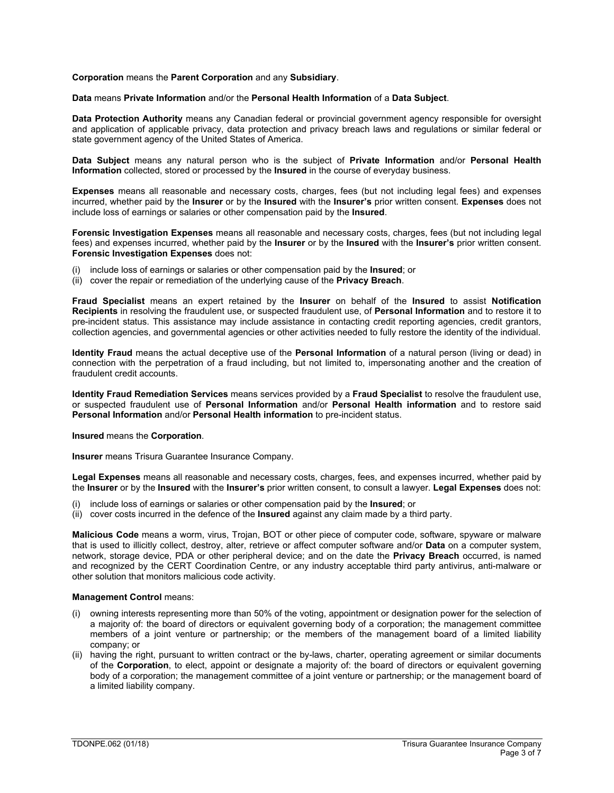### **Corporation** means the **Parent Corporation** and any **Subsidiary**.

### **Data** means **Private Information** and/or the **Personal Health Information** of a **Data Subject**.

**Data Protection Authority** means any Canadian federal or provincial government agency responsible for oversight and application of applicable privacy, data protection and privacy breach laws and regulations or similar federal or state government agency of the United States of America.

**Data Subject** means any natural person who is the subject of **Private Information** and/or **Personal Health Information** collected, stored or processed by the **Insured** in the course of everyday business.

**Expenses** means all reasonable and necessary costs, charges, fees (but not including legal fees) and expenses incurred, whether paid by the **Insurer** or by the **Insured** with the **Insurer's** prior written consent. **Expenses** does not include loss of earnings or salaries or other compensation paid by the **Insured**.

**Forensic Investigation Expenses** means all reasonable and necessary costs, charges, fees (but not including legal fees) and expenses incurred, whether paid by the **Insurer** or by the **Insured** with the **Insurer's** prior written consent. **Forensic Investigation Expenses** does not:

- include loss of earnings or salaries or other compensation paid by the Insured; or
- (ii) cover the repair or remediation of the underlying cause of the **Privacy Breach**.

**Fraud Specialist** means an expert retained by the **Insurer** on behalf of the **Insured** to assist **Notification Recipients** in resolving the fraudulent use, or suspected fraudulent use, of **Personal Information** and to restore it to pre-incident status. This assistance may include assistance in contacting credit reporting agencies, credit grantors, collection agencies, and governmental agencies or other activities needed to fully restore the identity of the individual.

**Identity Fraud** means the actual deceptive use of the **Personal Information** of a natural person (living or dead) in connection with the perpetration of a fraud including, but not limited to, impersonating another and the creation of fraudulent credit accounts.

**Identity Fraud Remediation Services** means services provided by a **Fraud Specialist** to resolve the fraudulent use, or suspected fraudulent use of **Personal Information** and/or **Personal Health information** and to restore said **Personal Information** and/or **Personal Health information** to pre-incident status.

#### **Insured** means the **Corporation**.

**Insurer** means Trisura Guarantee Insurance Company.

**Legal Expenses** means all reasonable and necessary costs, charges, fees, and expenses incurred, whether paid by the **Insurer** or by the **Insured** with the **Insurer's** prior written consent, to consult a lawyer. **Legal Expenses** does not:

- (i) include loss of earnings or salaries or other compensation paid by the **Insured**; or
- (ii) cover costs incurred in the defence of the **Insured** against any claim made by a third party.

**Malicious Code** means a worm, virus, Trojan, BOT or other piece of computer code, software, spyware or malware that is used to illicitly collect, destroy, alter, retrieve or affect computer software and/or **Data** on a computer system, network, storage device, PDA or other peripheral device; and on the date the **Privacy Breach** occurred, is named and recognized by the CERT Coordination Centre, or any industry acceptable third party antivirus, anti-malware or other solution that monitors malicious code activity.

#### **Management Control** means:

- (i) owning interests representing more than 50% of the voting, appointment or designation power for the selection of a majority of: the board of directors or equivalent governing body of a corporation; the management committee members of a joint venture or partnership; or the members of the management board of a limited liability company; or
- (ii) having the right, pursuant to written contract or the by-laws, charter, operating agreement or similar documents of the **Corporation**, to elect, appoint or designate a majority of: the board of directors or equivalent governing body of a corporation; the management committee of a joint venture or partnership; or the management board of a limited liability company.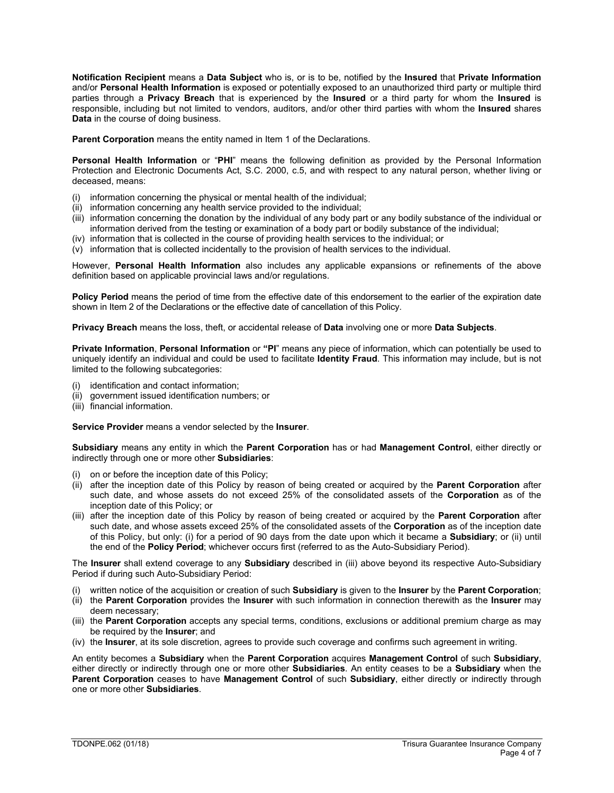**Notification Recipient** means a **Data Subject** who is, or is to be, notified by the **Insured** that **Private Information** and/or **Personal Health Information** is exposed or potentially exposed to an unauthorized third party or multiple third parties through a **Privacy Breach** that is experienced by the **Insured** or a third party for whom the **Insured** is responsible, including but not limited to vendors, auditors, and/or other third parties with whom the **Insured** shares **Data** in the course of doing business.

**Parent Corporation** means the entity named in Item 1 of the Declarations.

**Personal Health Information** or "**PHI**" means the following definition as provided by the Personal Information Protection and Electronic Documents Act, S.C. 2000, c.5, and with respect to any natural person, whether living or deceased, means:

- (i) information concerning the physical or mental health of the individual;
- (ii) information concerning any health service provided to the individual;
- (iii) information concerning the donation by the individual of any body part or any bodily substance of the individual or information derived from the testing or examination of a body part or bodily substance of the individual;
- (iv) information that is collected in the course of providing health services to the individual; or
- (v) information that is collected incidentally to the provision of health services to the individual.

However, **Personal Health Information** also includes any applicable expansions or refinements of the above definition based on applicable provincial laws and/or regulations.

**Policy Period** means the period of time from the effective date of this endorsement to the earlier of the expiration date shown in Item 2 of the Declarations or the effective date of cancellation of this Policy.

**Privacy Breach** means the loss, theft, or accidental release of **Data** involving one or more **Data Subjects**.

**Private Information**, **Personal Information** or **"PI**" means any piece of information, which can potentially be used to uniquely identify an individual and could be used to facilitate **Identity Fraud**. This information may include, but is not limited to the following subcategories:

- (i) identification and contact information;
- (ii) government issued identification numbers; or
- (iii) financial information.

#### **Service Provider** means a vendor selected by the **Insurer**.

**Subsidiary** means any entity in which the **Parent Corporation** has or had **Management Control**, either directly or indirectly through one or more other **Subsidiaries**:

- (i) on or before the inception date of this Policy;
- (ii) after the inception date of this Policy by reason of being created or acquired by the **Parent Corporation** after such date, and whose assets do not exceed 25% of the consolidated assets of the **Corporation** as of the inception date of this Policy; or
- (iii) after the inception date of this Policy by reason of being created or acquired by the **Parent Corporation** after such date, and whose assets exceed 25% of the consolidated assets of the **Corporation** as of the inception date of this Policy, but only: (i) for a period of 90 days from the date upon which it became a **Subsidiary**; or (ii) until the end of the **Policy Period**; whichever occurs first (referred to as the Auto-Subsidiary Period).

The **Insurer** shall extend coverage to any **Subsidiary** described in (iii) above beyond its respective Auto-Subsidiary Period if during such Auto-Subsidiary Period:

- (i) written notice of the acquisition or creation of such **Subsidiary** is given to the **Insurer** by the **Parent Corporation**;
- (ii) the **Parent Corporation** provides the **Insurer** with such information in connection therewith as the **Insurer** may deem necessary;
- (iii) the **Parent Corporation** accepts any special terms, conditions, exclusions or additional premium charge as may be required by the **Insurer**; and
- (iv) the **Insurer**, at its sole discretion, agrees to provide such coverage and confirms such agreement in writing.

An entity becomes a **Subsidiary** when the **Parent Corporation** acquires **Management Control** of such **Subsidiary**, either directly or indirectly through one or more other **Subsidiaries**. An entity ceases to be a **Subsidiary** when the **Parent Corporation** ceases to have **Management Control** of such **Subsidiary**, either directly or indirectly through one or more other **Subsidiaries**.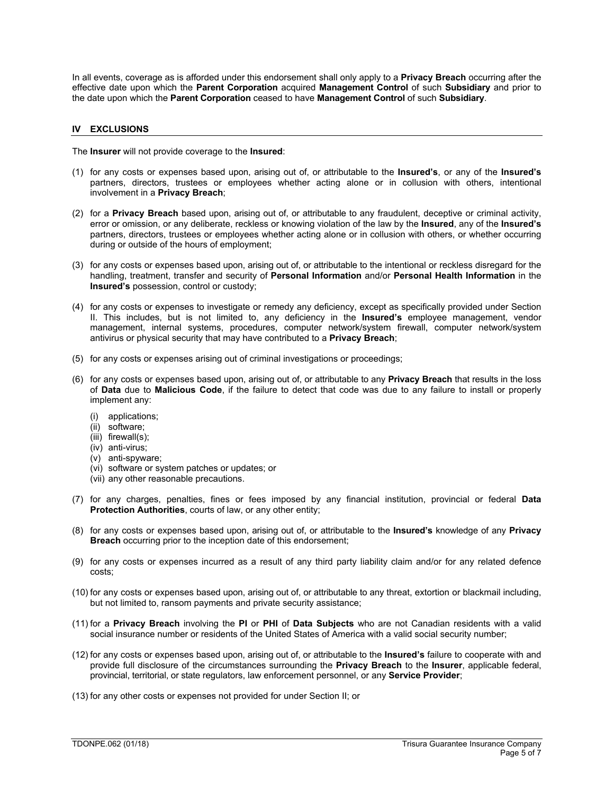In all events, coverage as is afforded under this endorsement shall only apply to a **Privacy Breach** occurring after the effective date upon which the **Parent Corporation** acquired **Management Control** of such **Subsidiary** and prior to the date upon which the **Parent Corporation** ceased to have **Management Control** of such **Subsidiary**.

# **IV EXCLUSIONS**

The **Insurer** will not provide coverage to the **Insured**:

- (1) for any costs or expenses based upon, arising out of, or attributable to the **Insured's**, or any of the **Insured's** partners, directors, trustees or employees whether acting alone or in collusion with others, intentional involvement in a **Privacy Breach**;
- (2) for a **Privacy Breach** based upon, arising out of, or attributable to any fraudulent, deceptive or criminal activity, error or omission, or any deliberate, reckless or knowing violation of the law by the **Insured**, any of the **Insured's** partners, directors, trustees or employees whether acting alone or in collusion with others, or whether occurring during or outside of the hours of employment;
- (3) for any costs or expenses based upon, arising out of, or attributable to the intentional or reckless disregard for the handling, treatment, transfer and security of **Personal Information** and/or **Personal Health Information** in the **Insured's** possession, control or custody;
- (4) for any costs or expenses to investigate or remedy any deficiency, except as specifically provided under Section II. This includes, but is not limited to, any deficiency in the **Insured's** employee management, vendor management, internal systems, procedures, computer network/system firewall, computer network/system antivirus or physical security that may have contributed to a **Privacy Breach**;
- (5) for any costs or expenses arising out of criminal investigations or proceedings;
- (6) for any costs or expenses based upon, arising out of, or attributable to any **Privacy Breach** that results in the loss of **Data** due to **Malicious Code**, if the failure to detect that code was due to any failure to install or properly implement any:
	- (i) applications;
	- (ii) software;
	- $(iii)$  firewall $(s)$ :
	- (iv) anti-virus;
	- (v) anti-spyware;
	- (vi) software or system patches or updates; or
	- (vii) any other reasonable precautions.
- (7) for any charges, penalties, fines or fees imposed by any financial institution, provincial or federal **Data Protection Authorities**, courts of law, or any other entity;
- (8) for any costs or expenses based upon, arising out of, or attributable to the **Insured's** knowledge of any **Privacy Breach** occurring prior to the inception date of this endorsement;
- (9) for any costs or expenses incurred as a result of any third party liability claim and/or for any related defence costs;
- (10) for any costs or expenses based upon, arising out of, or attributable to any threat, extortion or blackmail including, but not limited to, ransom payments and private security assistance;
- (11) for a **Privacy Breach** involving the **PI** or **PHI** of **Data Subjects** who are not Canadian residents with a valid social insurance number or residents of the United States of America with a valid social security number;
- (12) for any costs or expenses based upon, arising out of, or attributable to the **Insured's** failure to cooperate with and provide full disclosure of the circumstances surrounding the **Privacy Breach** to the **Insurer**, applicable federal, provincial, territorial, or state regulators, law enforcement personnel, or any **Service Provider**;
- (13) for any other costs or expenses not provided for under Section II; or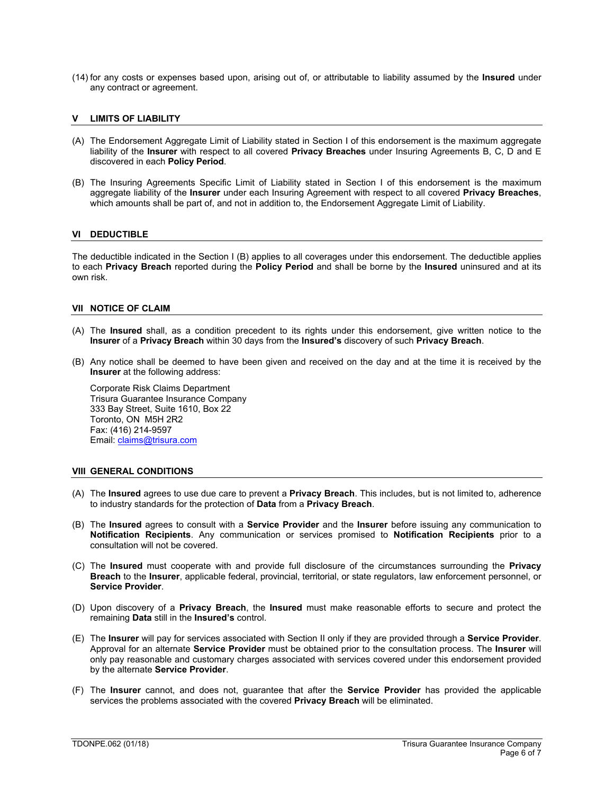- , #  $\begin{bmatrix} 1 & 7 & 96 \end{bmatrix}$  , #  $\begin{bmatrix} 1 & 96 \end{bmatrix}$  , #  $\begin{bmatrix} 1 & 96 \end{bmatrix}$  , %
- $\begin{array}{ccccc} & / & \mathcal{V}_0 & & \cdots & \cdots & 2 \\ \ast & . & \ast & \sharp\,! / & & 1 & / \\ \mathcal{V}_0 & . & \mathcal{V}_0 & / & \mathcal{V}_0\sharp\sharp ) & \mathcal{V}_0 \end{array}$
- 
- 
- $\frac{9}{6!}$  /  $6 \t2^*$  $\begin{array}{c}\n\text{(i)} \quad 3 \quad 1 \quad 4 \quad 4 \\
\text{(ii)} \quad 4 \quad 3 \quad 7 \quad 1 \\
\text{(iii)} \quad 9 \quad 7 \quad 8\n\end{array}$  $978, 18+C+1$ <br>  $*8*1$
- 
- 3 / , "<br>
%!  $$$  # &! %" ! !<br>
\* 1 \*\* . . . % \* 1 / + # % + , % / . # "!<br>! <br> % % ! \$ # & ! % "
	-
	-
- 
- 9 / (a)  $\frac{1}{2}$  (b)  $\frac{1}{2}$  (b)  $\frac{1}{2}$  (b)  $\frac{1}{2}$  (b)  $\frac{1}{2}$  (b)  $\frac{1}{2}$  (b)  $\frac{1}{2}$  (b)  $\frac{1}{2}$  (b)  $\frac{1}{2}$  (b)  $\frac{1}{2}$  (b)  $\frac{1}{2}$  (b)  $\frac{1}{2}$  (b)  $\frac{1}{2}$  (c)  $\frac{1}{2}$  (b)  $\frac{1}{2}$  (c)  $\frac$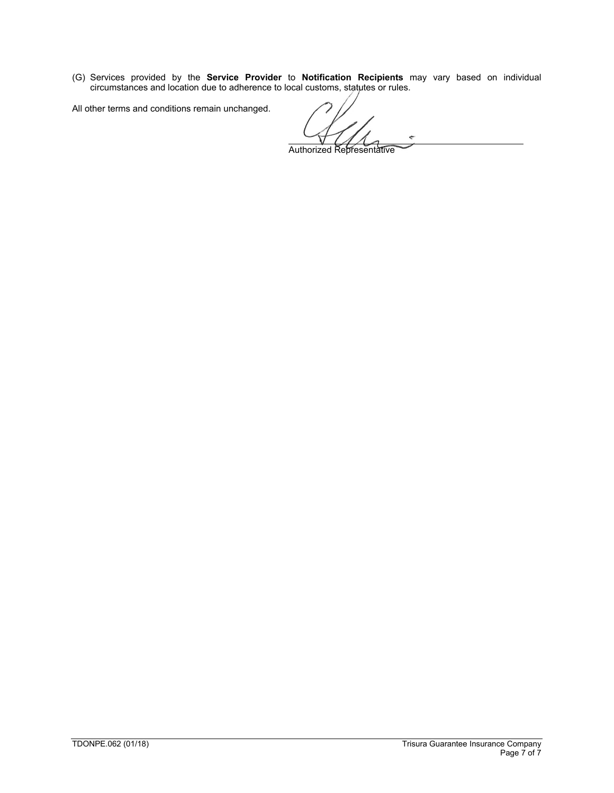(G) Services provided by the **Service Provider** to **Notification Recipients** may vary based on individual circumstances and location due to adherence to local customs, statutes or rules.

Authorized Representative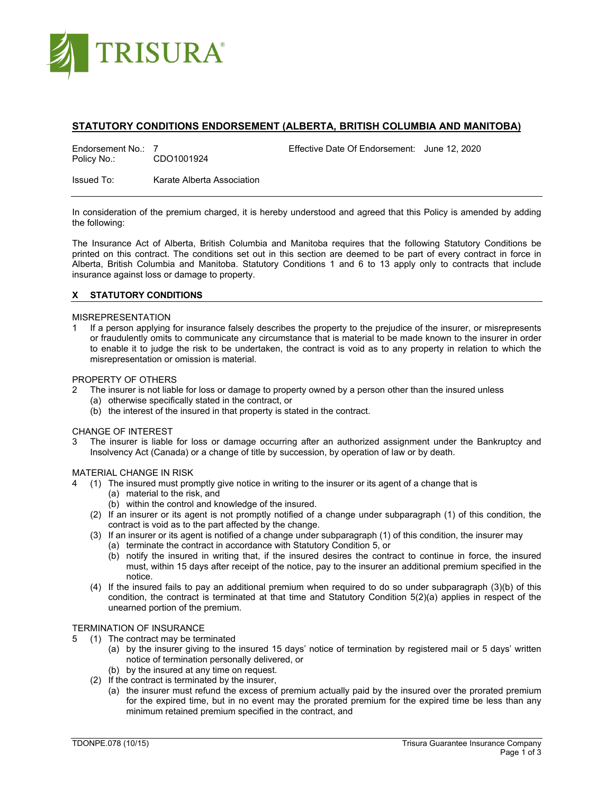

# **STATUTORY CONDITIONS ENDORSEMENT (ALBERTA, BRITISH COLUMBIA AND MANITOBA)**

Endorsement No.: 7 CDO1001924 Effective Date Of Endorsement: June 12, 2020<br>Policy No.: CDO1001924 CDO1001924

Issued To: Karate Alberta Association

In consideration of the premium charged, it is hereby understood and agreed that this Policy is amended by adding the following:

The Insurance Act of Alberta, British Columbia and Manitoba requires that the following Statutory Conditions be printed on this contract. The conditions set out in this section are deemed to be part of every contract in force in Alberta, British Columbia and Manitoba. Statutory Conditions 1 and 6 to 13 apply only to contracts that include insurance against loss or damage to property.

# **X STATUTORY CONDITIONS**

### MISREPRESENTATION

1 If a person applying for insurance falsely describes the property to the prejudice of the insurer, or misrepresents or fraudulently omits to communicate any circumstance that is material to be made known to the insurer in order to enable it to judge the risk to be undertaken, the contract is void as to any property in relation to which the misrepresentation or omission is material.

## PROPERTY OF OTHERS

- 2 The insurer is not liable for loss or damage to property owned by a person other than the insured unless
	- (a) otherwise specifically stated in the contract, or
	- (b) the interest of the insured in that property is stated in the contract.

#### CHANGE OF INTEREST

The insurer is liable for loss or damage occurring after an authorized assignment under the Bankruptcy and Insolvency Act (Canada) or a change of title by succession, by operation of law or by death.

#### MATERIAL CHANGE IN RISK

- 4 (1) The insured must promptly give notice in writing to the insurer or its agent of a change that is
	- (a) material to the risk, and
	- (b) within the control and knowledge of the insured.
	- (2) If an insurer or its agent is not promptly notified of a change under subparagraph (1) of this condition, the contract is void as to the part affected by the change.
	- (3) If an insurer or its agent is notified of a change under subparagraph (1) of this condition, the insurer may
		- (a) terminate the contract in accordance with Statutory Condition 5, or
		- (b) notify the insured in writing that, if the insured desires the contract to continue in force, the insured must, within 15 days after receipt of the notice, pay to the insurer an additional premium specified in the notice.
	- (4) If the insured fails to pay an additional premium when required to do so under subparagraph (3)(b) of this condition, the contract is terminated at that time and Statutory Condition 5(2)(a) applies in respect of the unearned portion of the premium.

# TERMINATION OF INSURANCE

- 5 (1) The contract may be terminated
	- (a) by the insurer giving to the insured 15 days' notice of termination by registered mail or 5 days' written notice of termination personally delivered, or
	- (b) by the insured at any time on request.
	- (2) If the contract is terminated by the insurer,
		- (a) the insurer must refund the excess of premium actually paid by the insured over the prorated premium for the expired time, but in no event may the prorated premium for the expired time be less than any minimum retained premium specified in the contract, and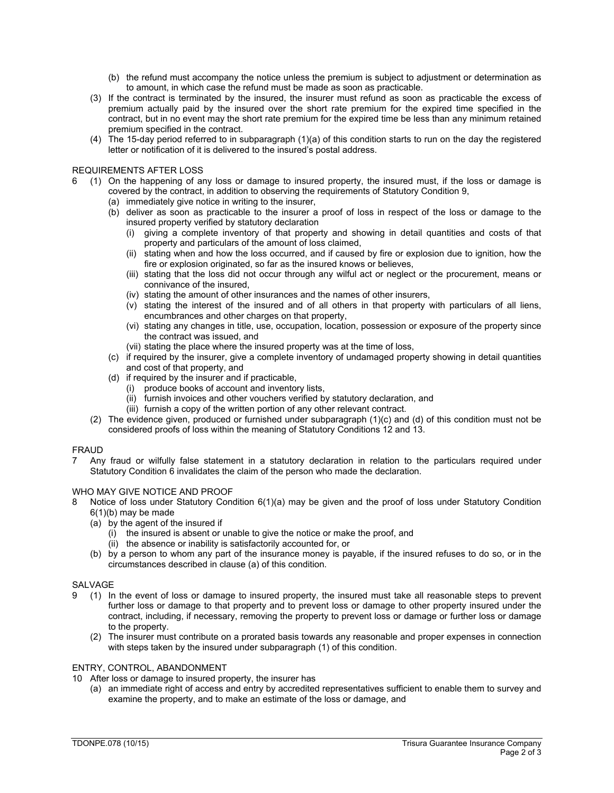- (b) the refund must accompany the notice unless the premium is subject to adjustment or determination as to amount, in which case the refund must be made as soon as practicable.
- (3) If the contract is terminated by the insured, the insurer must refund as soon as practicable the excess of premium actually paid by the insured over the short rate premium for the expired time specified in the contract, but in no event may the short rate premium for the expired time be less than any minimum retained premium specified in the contract.
- (4) The 15-day period referred to in subparagraph (1)(a) of this condition starts to run on the day the registered letter or notification of it is delivered to the insured's postal address.

### REQUIREMENTS AFTER LOSS

- 6 (1) On the happening of any loss or damage to insured property, the insured must, if the loss or damage is covered by the contract, in addition to observing the requirements of Statutory Condition 9,
	- (a) immediately give notice in writing to the insurer,
	- (b) deliver as soon as practicable to the insurer a proof of loss in respect of the loss or damage to the insured property verified by statutory declaration
		- (i) giving a complete inventory of that property and showing in detail quantities and costs of that property and particulars of the amount of loss claimed,
		- (ii) stating when and how the loss occurred, and if caused by fire or explosion due to ignition, how the fire or explosion originated, so far as the insured knows or believes,
		- (iii) stating that the loss did not occur through any wilful act or neglect or the procurement, means or connivance of the insured,
		- (iv) stating the amount of other insurances and the names of other insurers,
		- (v) stating the interest of the insured and of all others in that property with particulars of all liens, encumbrances and other charges on that property,
		- (vi) stating any changes in title, use, occupation, location, possession or exposure of the property since the contract was issued, and
		- (vii) stating the place where the insured property was at the time of loss,
	- (c) if required by the insurer, give a complete inventory of undamaged property showing in detail quantities and cost of that property, and
	- (d) if required by the insurer and if practicable,
		- (i) produce books of account and inventory lists,
		- (ii) furnish invoices and other vouchers verified by statutory declaration, and
		- (iii) furnish a copy of the written portion of any other relevant contract.
	- (2) The evidence given, produced or furnished under subparagraph (1)(c) and (d) of this condition must not be considered proofs of loss within the meaning of Statutory Conditions 12 and 13.

### FRAUD

7 Any fraud or wilfully false statement in a statutory declaration in relation to the particulars required under Statutory Condition 6 invalidates the claim of the person who made the declaration.

### WHO MAY GIVE NOTICE AND PROOF

- 8 Notice of loss under Statutory Condition 6(1)(a) may be given and the proof of loss under Statutory Condition 6(1)(b) may be made
	- (a) by the agent of the insured if
		- (i) the insured is absent or unable to give the notice or make the proof, and
		- (ii) the absence or inability is satisfactorily accounted for, or
	- (b) by a person to whom any part of the insurance money is payable, if the insured refuses to do so, or in the circumstances described in clause (a) of this condition.

### SALVAGE

- 9 (1) In the event of loss or damage to insured property, the insured must take all reasonable steps to prevent further loss or damage to that property and to prevent loss or damage to other property insured under the contract, including, if necessary, removing the property to prevent loss or damage or further loss or damage to the property.
	- (2) The insurer must contribute on a prorated basis towards any reasonable and proper expenses in connection with steps taken by the insured under subparagraph (1) of this condition.

### ENTRY, CONTROL, ABANDONMENT

- 10 After loss or damage to insured property, the insurer has
	- (a) an immediate right of access and entry by accredited representatives sufficient to enable them to survey and examine the property, and to make an estimate of the loss or damage, and